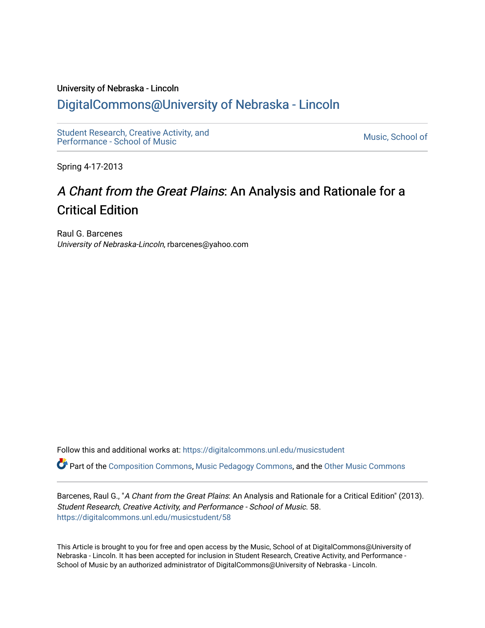## University of Nebraska - Lincoln [DigitalCommons@University of Nebraska - Lincoln](https://digitalcommons.unl.edu/)

[Student Research, Creative Activity, and](https://digitalcommons.unl.edu/musicstudent) Student Research, Creative Activity, and<br>Performance - School of Music

Spring 4-17-2013

# A Chant from the Great Plains: An Analysis and Rationale for a Critical Edition

Raul G. Barcenes University of Nebraska-Lincoln, rbarcenes@yahoo.com

Follow this and additional works at: [https://digitalcommons.unl.edu/musicstudent](https://digitalcommons.unl.edu/musicstudent?utm_source=digitalcommons.unl.edu%2Fmusicstudent%2F58&utm_medium=PDF&utm_campaign=PDFCoverPages)

Part of the [Composition Commons,](http://network.bepress.com/hgg/discipline/519?utm_source=digitalcommons.unl.edu%2Fmusicstudent%2F58&utm_medium=PDF&utm_campaign=PDFCoverPages) [Music Pedagogy Commons](http://network.bepress.com/hgg/discipline/1129?utm_source=digitalcommons.unl.edu%2Fmusicstudent%2F58&utm_medium=PDF&utm_campaign=PDFCoverPages), and the [Other Music Commons](http://network.bepress.com/hgg/discipline/524?utm_source=digitalcommons.unl.edu%2Fmusicstudent%2F58&utm_medium=PDF&utm_campaign=PDFCoverPages) 

Barcenes, Raul G., "A Chant from the Great Plains: An Analysis and Rationale for a Critical Edition" (2013). Student Research, Creative Activity, and Performance - School of Music. 58. [https://digitalcommons.unl.edu/musicstudent/58](https://digitalcommons.unl.edu/musicstudent/58?utm_source=digitalcommons.unl.edu%2Fmusicstudent%2F58&utm_medium=PDF&utm_campaign=PDFCoverPages) 

This Article is brought to you for free and open access by the Music, School of at DigitalCommons@University of Nebraska - Lincoln. It has been accepted for inclusion in Student Research, Creative Activity, and Performance - School of Music by an authorized administrator of DigitalCommons@University of Nebraska - Lincoln.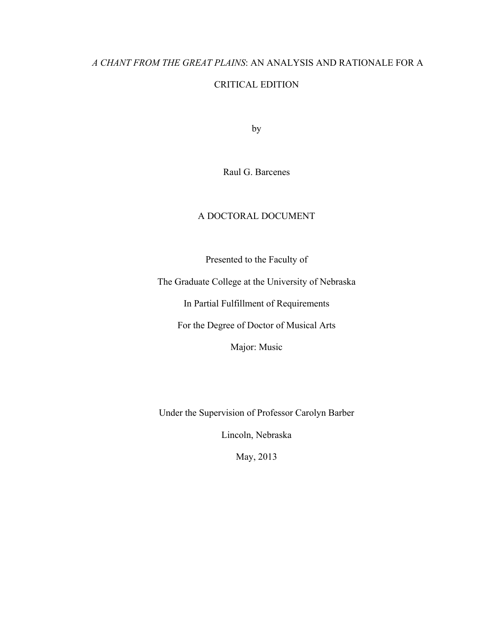# *A CHANT FROM THE GREAT PLAINS*: AN ANALYSIS AND RATIONALE FOR A CRITICAL EDITION

by

Raul G. Barcenes

## A DOCTORAL DOCUMENT

Presented to the Faculty of

The Graduate College at the University of Nebraska

In Partial Fulfillment of Requirements

For the Degree of Doctor of Musical Arts

Major: Music

Under the Supervision of Professor Carolyn Barber

Lincoln, Nebraska

May, 2013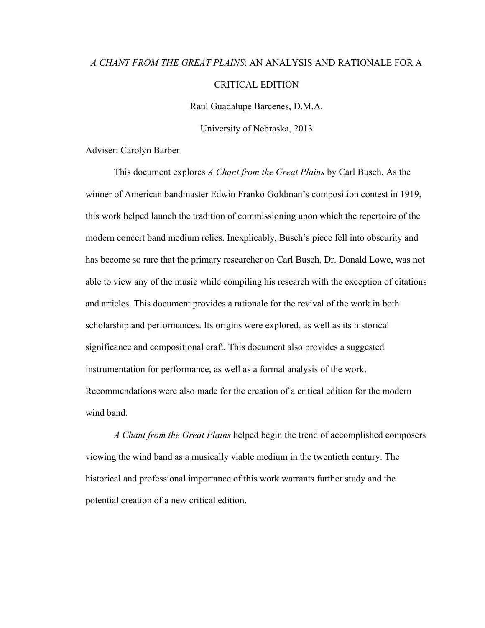# *A CHANT FROM THE GREAT PLAINS*: AN ANALYSIS AND RATIONALE FOR A CRITICAL EDITION

Raul Guadalupe Barcenes, D.M.A.

University of Nebraska, 2013

Adviser: Carolyn Barber

This document explores *A Chant from the Great Plains* by Carl Busch. As the winner of American bandmaster Edwin Franko Goldman's composition contest in 1919, this work helped launch the tradition of commissioning upon which the repertoire of the modern concert band medium relies. Inexplicably, Busch's piece fell into obscurity and has become so rare that the primary researcher on Carl Busch, Dr. Donald Lowe, was not able to view any of the music while compiling his research with the exception of citations and articles. This document provides a rationale for the revival of the work in both scholarship and performances. Its origins were explored, as well as its historical significance and compositional craft. This document also provides a suggested instrumentation for performance, as well as a formal analysis of the work. Recommendations were also made for the creation of a critical edition for the modern wind band.

*A Chant from the Great Plains* helped begin the trend of accomplished composers viewing the wind band as a musically viable medium in the twentieth century. The historical and professional importance of this work warrants further study and the potential creation of a new critical edition.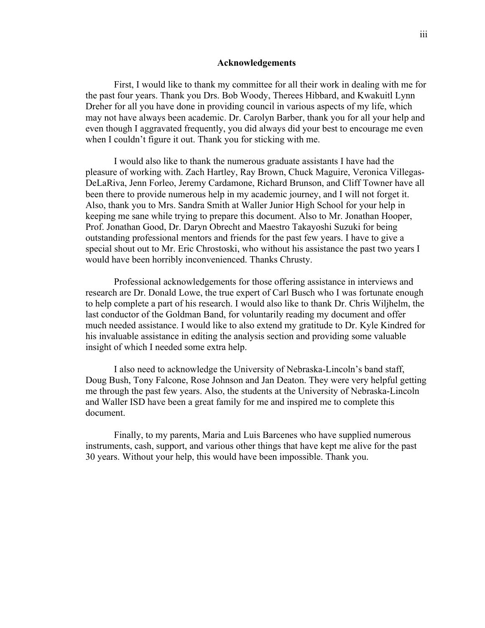#### **Acknowledgements**

First, I would like to thank my committee for all their work in dealing with me for the past four years. Thank you Drs. Bob Woody, Therees Hibbard, and Kwakuitl Lynn Dreher for all you have done in providing council in various aspects of my life, which may not have always been academic. Dr. Carolyn Barber, thank you for all your help and even though I aggravated frequently, you did always did your best to encourage me even when I couldn't figure it out. Thank you for sticking with me.

I would also like to thank the numerous graduate assistants I have had the pleasure of working with. Zach Hartley, Ray Brown, Chuck Maguire, Veronica Villegas-DeLaRiva, Jenn Forleo, Jeremy Cardamone, Richard Brunson, and Cliff Towner have all been there to provide numerous help in my academic journey, and I will not forget it. Also, thank you to Mrs. Sandra Smith at Waller Junior High School for your help in keeping me sane while trying to prepare this document. Also to Mr. Jonathan Hooper, Prof. Jonathan Good, Dr. Daryn Obrecht and Maestro Takayoshi Suzuki for being outstanding professional mentors and friends for the past few years. I have to give a special shout out to Mr. Eric Chrostoski, who without his assistance the past two years I would have been horribly inconvenienced. Thanks Chrusty.

Professional acknowledgements for those offering assistance in interviews and research are Dr. Donald Lowe, the true expert of Carl Busch who I was fortunate enough to help complete a part of his research. I would also like to thank Dr. Chris Wiljhelm, the last conductor of the Goldman Band, for voluntarily reading my document and offer much needed assistance. I would like to also extend my gratitude to Dr. Kyle Kindred for his invaluable assistance in editing the analysis section and providing some valuable insight of which I needed some extra help.

I also need to acknowledge the University of Nebraska-Lincoln's band staff, Doug Bush, Tony Falcone, Rose Johnson and Jan Deaton. They were very helpful getting me through the past few years. Also, the students at the University of Nebraska-Lincoln and Waller ISD have been a great family for me and inspired me to complete this document.

Finally, to my parents, Maria and Luis Barcenes who have supplied numerous instruments, cash, support, and various other things that have kept me alive for the past 30 years. Without your help, this would have been impossible. Thank you.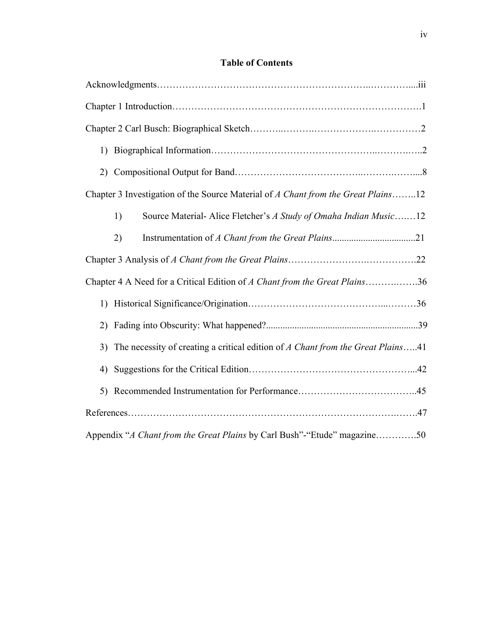## **Table of Contents**

| 1)                                                                                    |  |
|---------------------------------------------------------------------------------------|--|
|                                                                                       |  |
| Chapter 3 Investigation of the Source Material of A Chant from the Great Plains12     |  |
| Source Material-Alice Fletcher's A Study of Omaha Indian Music12<br>1)                |  |
| 2)                                                                                    |  |
|                                                                                       |  |
| Chapter 4 A Need for a Critical Edition of A Chant from the Great Plains36            |  |
|                                                                                       |  |
| 2)                                                                                    |  |
| The necessity of creating a critical edition of A Chant from the Great Plains41<br>3) |  |
| 4)                                                                                    |  |
| 5)                                                                                    |  |
|                                                                                       |  |
| Appendix "A Chant from the Great Plains by Carl Bush"-"Etude" magazine50              |  |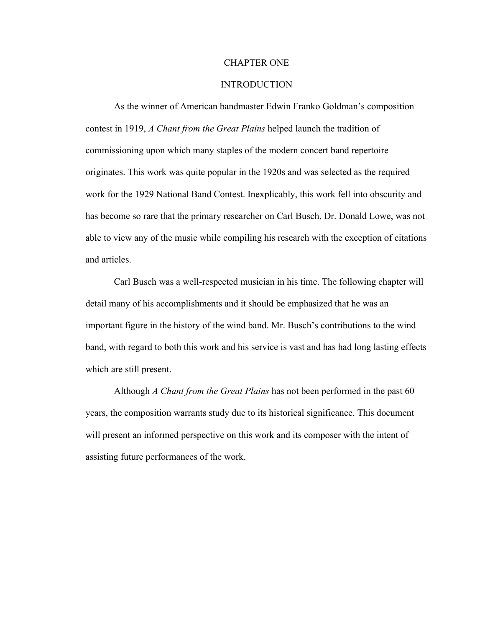## CHAPTER ONE

## INTRODUCTION

As the winner of American bandmaster Edwin Franko Goldman's composition contest in 1919, *A Chant from the Great Plains* helped launch the tradition of commissioning upon which many staples of the modern concert band repertoire originates. This work was quite popular in the 1920s and was selected as the required work for the 1929 National Band Contest. Inexplicably, this work fell into obscurity and has become so rare that the primary researcher on Carl Busch, Dr. Donald Lowe, was not able to view any of the music while compiling his research with the exception of citations and articles.

Carl Busch was a well-respected musician in his time. The following chapter will detail many of his accomplishments and it should be emphasized that he was an important figure in the history of the wind band. Mr. Busch's contributions to the wind band, with regard to both this work and his service is vast and has had long lasting effects which are still present.

Although *A Chant from the Great Plains* has not been performed in the past 60 years, the composition warrants study due to its historical significance. This document will present an informed perspective on this work and its composer with the intent of assisting future performances of the work.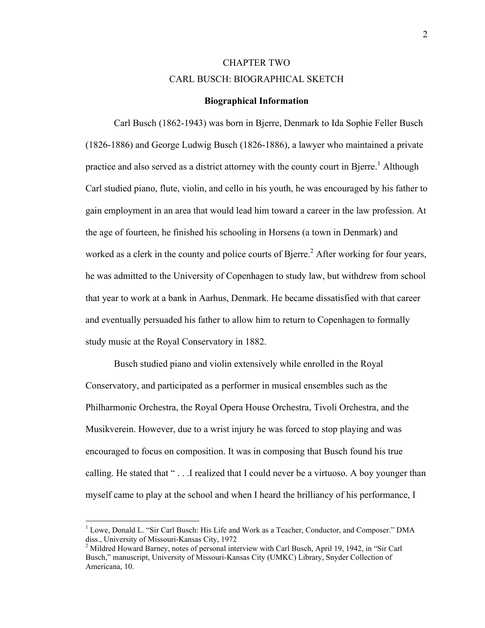## CHAPTER TWO CARL BUSCH: BIOGRAPHICAL SKETCH

#### **Biographical Information**

Carl Busch (1862-1943) was born in Bjerre, Denmark to Ida Sophie Feller Busch (1826-1886) and George Ludwig Busch (1826-1886), a lawyer who maintained a private practice and also served as a district attorney with the county court in Bjerre.<sup>1</sup> Although Carl studied piano, flute, violin, and cello in his youth, he was encouraged by his father to gain employment in an area that would lead him toward a career in the law profession. At the age of fourteen, he finished his schooling in Horsens (a town in Denmark) and worked as a clerk in the county and police courts of Bjerre.<sup>2</sup> After working for four years, he was admitted to the University of Copenhagen to study law, but withdrew from school that year to work at a bank in Aarhus, Denmark. He became dissatisfied with that career and eventually persuaded his father to allow him to return to Copenhagen to formally study music at the Royal Conservatory in 1882.

Busch studied piano and violin extensively while enrolled in the Royal Conservatory, and participated as a performer in musical ensembles such as the Philharmonic Orchestra, the Royal Opera House Orchestra, Tivoli Orchestra, and the Musikverein. However, due to a wrist injury he was forced to stop playing and was encouraged to focus on composition. It was in composing that Busch found his true calling. He stated that " . . .I realized that I could never be a virtuoso. A boy younger than myself came to play at the school and when I heard the brilliancy of his performance, I

 <sup>1</sup> Lowe, Donald L. "Sir Carl Busch: His Life and Work as a Teacher, Conductor, and Composer." DMA diss., University of Missouri-Kansas City, 1972

 $^2$  Mildred Howard Barney, notes of personal interview with Carl Busch, April 19, 1942, in "Sir Carl Busch," manuscript, University of Missouri-Kansas City (UMKC) Library, Snyder Collection of Americana, 10.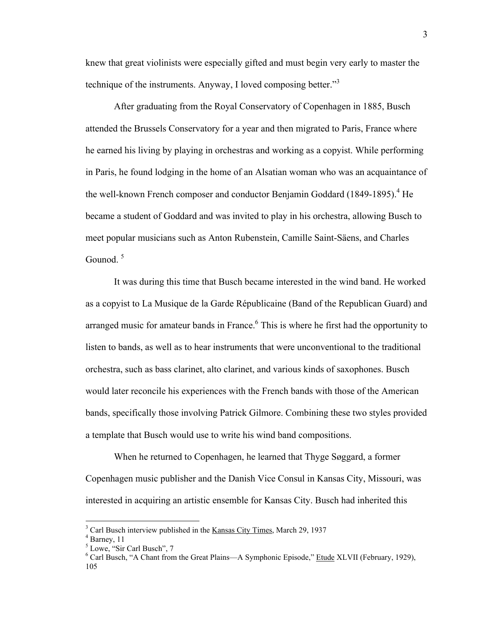knew that great violinists were especially gifted and must begin very early to master the technique of the instruments. Anyway, I loved composing better.<sup>33</sup>

After graduating from the Royal Conservatory of Copenhagen in 1885, Busch attended the Brussels Conservatory for a year and then migrated to Paris, France where he earned his living by playing in orchestras and working as a copyist. While performing in Paris, he found lodging in the home of an Alsatian woman who was an acquaintance of the well-known French composer and conductor Benjamin Goddard (1849-1895). <sup>4</sup> He became a student of Goddard and was invited to play in his orchestra, allowing Busch to meet popular musicians such as Anton Rubenstein, Camille Saint-Säens, and Charles Gounod<sup>5</sup>

It was during this time that Busch became interested in the wind band. He worked as a copyist to La Musique de la Garde Républicaine (Band of the Republican Guard) and arranged music for amateur bands in France.<sup>6</sup> This is where he first had the opportunity to listen to bands, as well as to hear instruments that were unconventional to the traditional orchestra, such as bass clarinet, alto clarinet, and various kinds of saxophones. Busch would later reconcile his experiences with the French bands with those of the American bands, specifically those involving Patrick Gilmore. Combining these two styles provided a template that Busch would use to write his wind band compositions.

When he returned to Copenhagen, he learned that Thyge Søggard, a former Copenhagen music publisher and the Danish Vice Consul in Kansas City, Missouri, was interested in acquiring an artistic ensemble for Kansas City. Busch had inherited this

 $\frac{3}{3}$  Corl Dycels interview published in <sup>3</sup> Carl Busch interview published in the <u>Kansas City Times</u>, March 29, 1937<br><sup>4</sup> Pernou 11

 $<sup>4</sup>$  Barney, 11</sup>

<sup>5</sup> Lowe, "Sir Carl Busch", 7

<sup>&</sup>lt;sup>6</sup> Carl Busch, "A Chant from the Great Plains—A Symphonic Episode," Etude XLVII (February, 1929), 105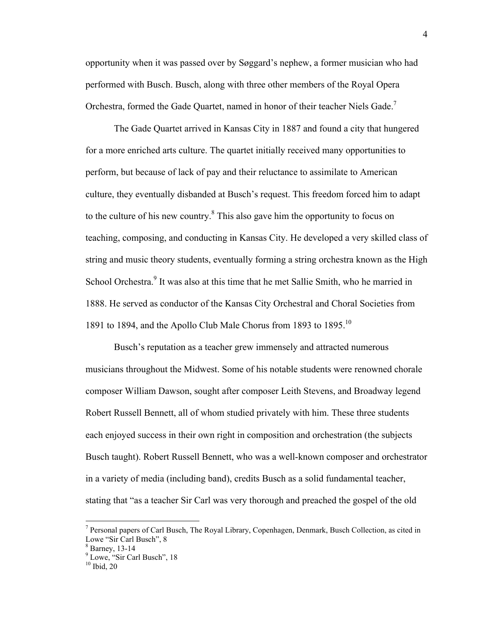opportunity when it was passed over by Søggard's nephew, a former musician who had performed with Busch. Busch, along with three other members of the Royal Opera Orchestra, formed the Gade Quartet, named in honor of their teacher Niels Gade.<sup>7</sup>

The Gade Quartet arrived in Kansas City in 1887 and found a city that hungered for a more enriched arts culture. The quartet initially received many opportunities to perform, but because of lack of pay and their reluctance to assimilate to American culture, they eventually disbanded at Busch's request. This freedom forced him to adapt to the culture of his new country. $8$  This also gave him the opportunity to focus on teaching, composing, and conducting in Kansas City. He developed a very skilled class of string and music theory students, eventually forming a string orchestra known as the High School Orchestra.<sup>9</sup> It was also at this time that he met Sallie Smith, who he married in 1888. He served as conductor of the Kansas City Orchestral and Choral Societies from 1891 to 1894, and the Apollo Club Male Chorus from 1893 to 1895.10

Busch's reputation as a teacher grew immensely and attracted numerous musicians throughout the Midwest. Some of his notable students were renowned chorale composer William Dawson, sought after composer Leith Stevens, and Broadway legend Robert Russell Bennett, all of whom studied privately with him. These three students each enjoyed success in their own right in composition and orchestration (the subjects Busch taught). Robert Russell Bennett, who was a well-known composer and orchestrator in a variety of media (including band), credits Busch as a solid fundamental teacher, stating that "as a teacher Sir Carl was very thorough and preached the gospel of the old

<sup>&</sup>lt;sup>7</sup> Personal papers of Carl Busch, The Royal Library, Copenhagen, Denmark, Busch Collection, as cited in Lowe "Sir Carl Busch", 8

 $8$  Barney, 13-14

 $^8$  Barney, 13-14<br> $^9$  Lowe, "Sir Carl Busch", 18

 $10$  Ibid, 20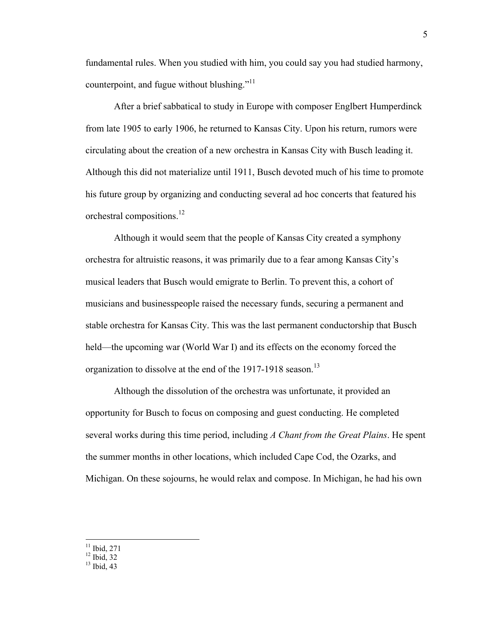fundamental rules. When you studied with him, you could say you had studied harmony, counterpoint, and fugue without blushing."<sup>11</sup>

After a brief sabbatical to study in Europe with composer Englbert Humperdinck from late 1905 to early 1906, he returned to Kansas City. Upon his return, rumors were circulating about the creation of a new orchestra in Kansas City with Busch leading it. Although this did not materialize until 1911, Busch devoted much of his time to promote his future group by organizing and conducting several ad hoc concerts that featured his orchestral compositions.<sup>12</sup>

Although it would seem that the people of Kansas City created a symphony orchestra for altruistic reasons, it was primarily due to a fear among Kansas City's musical leaders that Busch would emigrate to Berlin. To prevent this, a cohort of musicians and businesspeople raised the necessary funds, securing a permanent and stable orchestra for Kansas City. This was the last permanent conductorship that Busch held—the upcoming war (World War I) and its effects on the economy forced the organization to dissolve at the end of the 1917-1918 season.<sup>13</sup>

Although the dissolution of the orchestra was unfortunate, it provided an opportunity for Busch to focus on composing and guest conducting. He completed several works during this time period, including *A Chant from the Great Plains*. He spent the summer months in other locations, which included Cape Cod, the Ozarks, and Michigan. On these sojourns, he would relax and compose. In Michigan, he had his own

 $^{11}$  Ibid, 271<br> $^{12}$  Ibid, 32

 $13$  Ibid, 43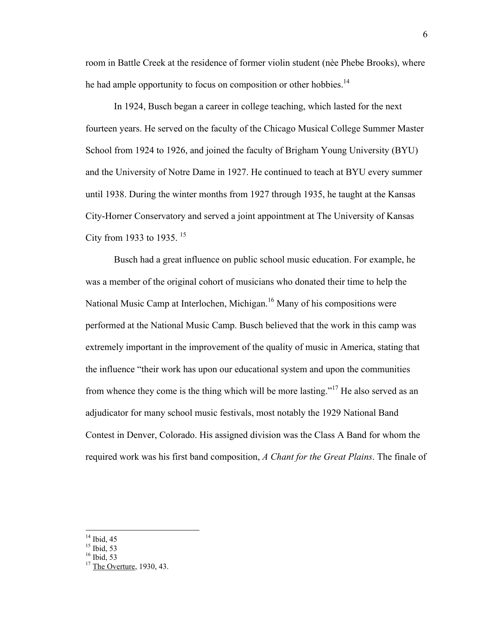room in Battle Creek at the residence of former violin student (nèe Phebe Brooks), where he had ample opportunity to focus on composition or other hobbies.<sup>14</sup>

In 1924, Busch began a career in college teaching, which lasted for the next fourteen years. He served on the faculty of the Chicago Musical College Summer Master School from 1924 to 1926, and joined the faculty of Brigham Young University (BYU) and the University of Notre Dame in 1927. He continued to teach at BYU every summer until 1938. During the winter months from 1927 through 1935, he taught at the Kansas City-Horner Conservatory and served a joint appointment at The University of Kansas City from 1933 to 1935.  $15$ 

Busch had a great influence on public school music education. For example, he was a member of the original cohort of musicians who donated their time to help the National Music Camp at Interlochen, Michigan.<sup>16</sup> Many of his compositions were performed at the National Music Camp. Busch believed that the work in this camp was extremely important in the improvement of the quality of music in America, stating that the influence "their work has upon our educational system and upon the communities from whence they come is the thing which will be more lasting."<sup>17</sup> He also served as an adjudicator for many school music festivals, most notably the 1929 National Band Contest in Denver, Colorado. His assigned division was the Class A Band for whom the required work was his first band composition, *A Chant for the Great Plains*. The finale of

 $16$  Ibid, 53

 $14$  Ibid, 45

 $^{15}$  Ibid, 53

 $17$  The Overture, 1930, 43.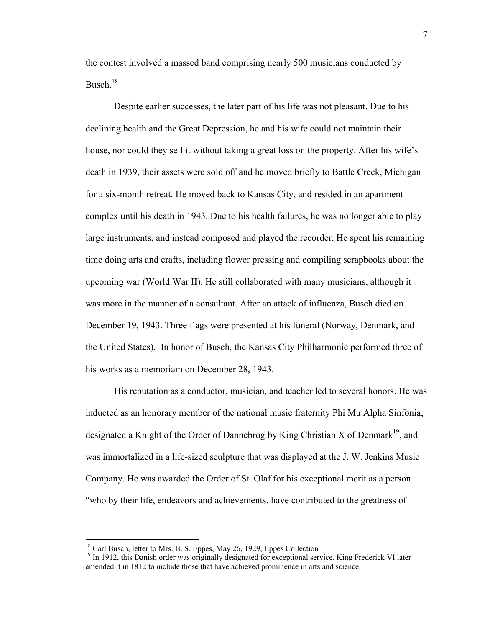the contest involved a massed band comprising nearly 500 musicians conducted by Busch. 18

Despite earlier successes, the later part of his life was not pleasant. Due to his declining health and the Great Depression, he and his wife could not maintain their house, nor could they sell it without taking a great loss on the property. After his wife's death in 1939, their assets were sold off and he moved briefly to Battle Creek, Michigan for a six-month retreat. He moved back to Kansas City, and resided in an apartment complex until his death in 1943. Due to his health failures, he was no longer able to play large instruments, and instead composed and played the recorder. He spent his remaining time doing arts and crafts, including flower pressing and compiling scrapbooks about the upcoming war (World War II). He still collaborated with many musicians, although it was more in the manner of a consultant. After an attack of influenza, Busch died on December 19, 1943. Three flags were presented at his funeral (Norway, Denmark, and the United States). In honor of Busch, the Kansas City Philharmonic performed three of his works as a memoriam on December 28, 1943.

His reputation as a conductor, musician, and teacher led to several honors. He was inducted as an honorary member of the national music fraternity Phi Mu Alpha Sinfonia, designated a Knight of the Order of Dannebrog by King Christian X of Denmark<sup>19</sup>, and was immortalized in a life-sized sculpture that was displayed at the J. W. Jenkins Music Company. He was awarded the Order of St. Olaf for his exceptional merit as a person "who by their life, endeavors and achievements, have contributed to the greatness of

<sup>&</sup>lt;sup>18</sup> Carl Busch, letter to Mrs. B. S. Eppes, May 26, 1929, Eppes Collection

 $19$  In 1912, this Danish order was originally designated for exceptional service. King Frederick VI later amended it in 1812 to include those that have achieved prominence in arts and science.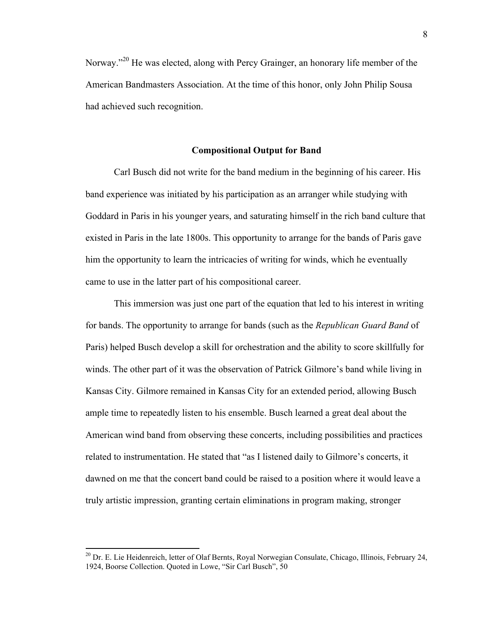Norway."<sup>20</sup> He was elected, along with Percy Grainger, an honorary life member of the American Bandmasters Association. At the time of this honor, only John Philip Sousa had achieved such recognition.

## **Compositional Output for Band**

Carl Busch did not write for the band medium in the beginning of his career. His band experience was initiated by his participation as an arranger while studying with Goddard in Paris in his younger years, and saturating himself in the rich band culture that existed in Paris in the late 1800s. This opportunity to arrange for the bands of Paris gave him the opportunity to learn the intricacies of writing for winds, which he eventually came to use in the latter part of his compositional career.

This immersion was just one part of the equation that led to his interest in writing for bands. The opportunity to arrange for bands (such as the *Republican Guard Band* of Paris) helped Busch develop a skill for orchestration and the ability to score skillfully for winds. The other part of it was the observation of Patrick Gilmore's band while living in Kansas City. Gilmore remained in Kansas City for an extended period, allowing Busch ample time to repeatedly listen to his ensemble. Busch learned a great deal about the American wind band from observing these concerts, including possibilities and practices related to instrumentation. He stated that "as I listened daily to Gilmore's concerts, it dawned on me that the concert band could be raised to a position where it would leave a truly artistic impression, granting certain eliminations in program making, stronger

<sup>&</sup>lt;sup>20</sup> Dr. E. Lie Heidenreich, letter of Olaf Bernts, Royal Norwegian Consulate, Chicago, Illinois, February 24, 1924, Boorse Collection. Quoted in Lowe, "Sir Carl Busch", 50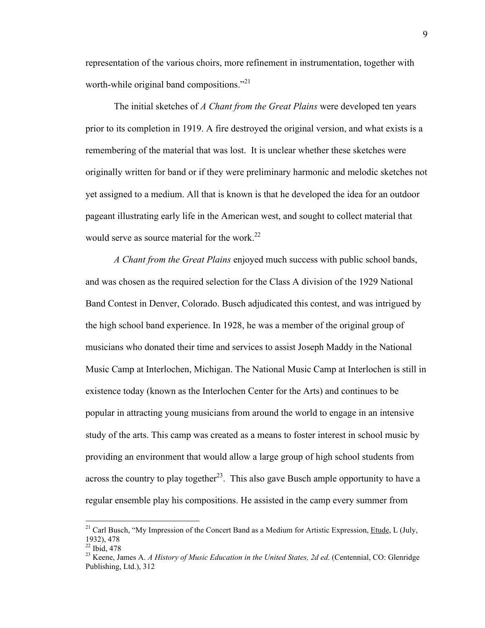representation of the various choirs, more refinement in instrumentation, together with worth-while original band compositions."<sup>21</sup>

The initial sketches of *A Chant from the Great Plains* were developed ten years prior to its completion in 1919. A fire destroyed the original version, and what exists is a remembering of the material that was lost. It is unclear whether these sketches were originally written for band or if they were preliminary harmonic and melodic sketches not yet assigned to a medium. All that is known is that he developed the idea for an outdoor pageant illustrating early life in the American west, and sought to collect material that would serve as source material for the work.<sup>22</sup>

*A Chant from the Great Plains* enjoyed much success with public school bands, and was chosen as the required selection for the Class A division of the 1929 National Band Contest in Denver, Colorado. Busch adjudicated this contest, and was intrigued by the high school band experience. In 1928, he was a member of the original group of musicians who donated their time and services to assist Joseph Maddy in the National Music Camp at Interlochen, Michigan. The National Music Camp at Interlochen is still in existence today (known as the Interlochen Center for the Arts) and continues to be popular in attracting young musicians from around the world to engage in an intensive study of the arts. This camp was created as a means to foster interest in school music by providing an environment that would allow a large group of high school students from across the country to play together<sup>23</sup>. This also gave Busch ample opportunity to have a regular ensemble play his compositions. He assisted in the camp every summer from

<sup>&</sup>lt;sup>21</sup> Carl Busch, "My Impression of the Concert Band as a Medium for Artistic Expression, Etude, L (July, 1932), 478

 $^{22}$  Ibid, 478

<sup>23</sup> Keene, James A. *A History of Music Education in the United States, 2d ed*. (Centennial, CO: Glenridge Publishing, Ltd.), 312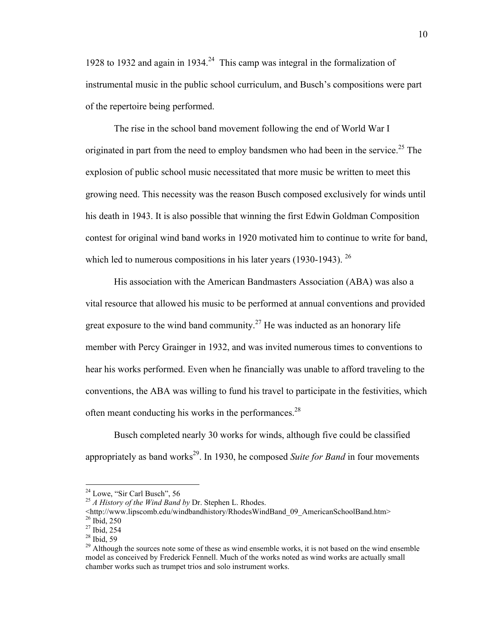1928 to 1932 and again in 1934.<sup>24</sup> This camp was integral in the formalization of instrumental music in the public school curriculum, and Busch's compositions were part of the repertoire being performed.

The rise in the school band movement following the end of World War I originated in part from the need to employ bandsmen who had been in the service.<sup>25</sup> The explosion of public school music necessitated that more music be written to meet this growing need. This necessity was the reason Busch composed exclusively for winds until his death in 1943. It is also possible that winning the first Edwin Goldman Composition contest for original wind band works in 1920 motivated him to continue to write for band, which led to numerous compositions in his later years  $(1930-1943)$ . <sup>26</sup>

His association with the American Bandmasters Association (ABA) was also a vital resource that allowed his music to be performed at annual conventions and provided great exposure to the wind band community.<sup>27</sup> He was inducted as an honorary life member with Percy Grainger in 1932, and was invited numerous times to conventions to hear his works performed. Even when he financially was unable to afford traveling to the conventions, the ABA was willing to fund his travel to participate in the festivities, which often meant conducting his works in the performances.<sup>28</sup>

Busch completed nearly 30 works for winds, although five could be classified appropriately as band works<sup>29</sup>. In 1930, he composed *Suite for Band* in four movements

<sup>&</sup>lt;sup>24</sup> Lowe, "Sir Carl Busch", 56<br><sup>25</sup> *A History of the Wind Band by* Dr. Stephen L. Rhodes.

<sup>&</sup>lt;http://www.lipscomb.edu/windbandhistory/RhodesWindBand\_09\_AmericanSchoolBand.htm>  $26$  Ibid, 250

<sup>27</sup> Ibid, 254

 $28$  Ibid, 59

 $29$  Although the sources note some of these as wind ensemble works, it is not based on the wind ensemble model as conceived by Frederick Fennell. Much of the works noted as wind works are actually small chamber works such as trumpet trios and solo instrument works.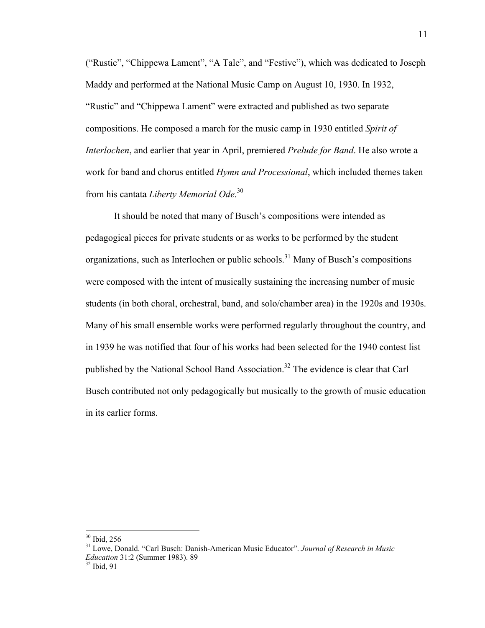("Rustic", "Chippewa Lament", "A Tale", and "Festive"), which was dedicated to Joseph Maddy and performed at the National Music Camp on August 10, 1930. In 1932, "Rustic" and "Chippewa Lament" were extracted and published as two separate compositions. He composed a march for the music camp in 1930 entitled *Spirit of Interlochen*, and earlier that year in April, premiered *Prelude for Band*. He also wrote a work for band and chorus entitled *Hymn and Processional*, which included themes taken from his cantata *Liberty Memorial Ode*. 30

It should be noted that many of Busch's compositions were intended as pedagogical pieces for private students or as works to be performed by the student organizations, such as Interlochen or public schools.<sup>31</sup> Many of Busch's compositions were composed with the intent of musically sustaining the increasing number of music students (in both choral, orchestral, band, and solo/chamber area) in the 1920s and 1930s. Many of his small ensemble works were performed regularly throughout the country, and in 1939 he was notified that four of his works had been selected for the 1940 contest list published by the National School Band Association.<sup>32</sup> The evidence is clear that Carl Busch contributed not only pedagogically but musically to the growth of music education in its earlier forms.

 30 Ibid, 256

<sup>31</sup> Lowe, Donald. "Carl Busch: Danish-American Music Educator". *Journal of Research in Music Education* 31:2 (Summer 1983). 89<sup>32</sup> Ibid. 91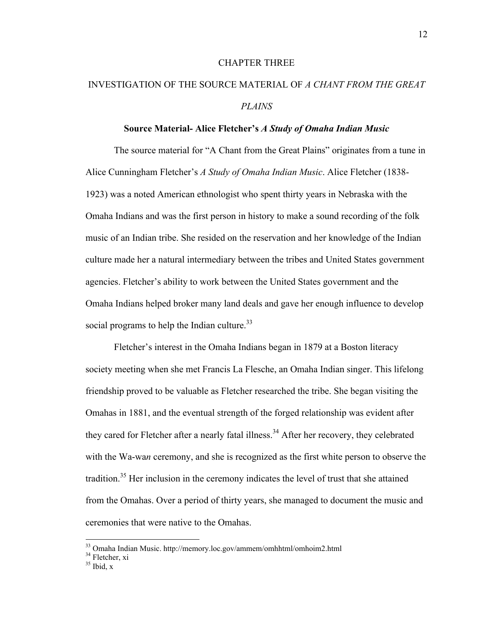### CHAPTER THREE

# INVESTIGATION OF THE SOURCE MATERIAL OF *A CHANT FROM THE GREAT PLAINS*

## **Source Material- Alice Fletcher's** *A Study of Omaha Indian Music*

The source material for "A Chant from the Great Plains" originates from a tune in Alice Cunningham Fletcher's *A Study of Omaha Indian Music*. Alice Fletcher (1838- 1923) was a noted American ethnologist who spent thirty years in Nebraska with the Omaha Indians and was the first person in history to make a sound recording of the folk music of an Indian tribe. She resided on the reservation and her knowledge of the Indian culture made her a natural intermediary between the tribes and United States government agencies. Fletcher's ability to work between the United States government and the Omaha Indians helped broker many land deals and gave her enough influence to develop social programs to help the Indian culture. $33$ 

Fletcher's interest in the Omaha Indians began in 1879 at a Boston literacy society meeting when she met Francis La Flesche, an Omaha Indian singer. This lifelong friendship proved to be valuable as Fletcher researched the tribe. She began visiting the Omahas in 1881, and the eventual strength of the forged relationship was evident after they cared for Fletcher after a nearly fatal illness.<sup>34</sup> After her recovery, they celebrated with the Wa-wa*n* ceremony, and she is recognized as the first white person to observe the tradition.<sup>35</sup> Her inclusion in the ceremony indicates the level of trust that she attained from the Omahas. Over a period of thirty years, she managed to document the music and ceremonies that were native to the Omahas.

 33 Omaha Indian Music. http://memory.loc.gov/ammem/omhhtml/omhoim2.html

<sup>&</sup>lt;sup>34</sup> Fletcher, xi

 $35$  Ibid, x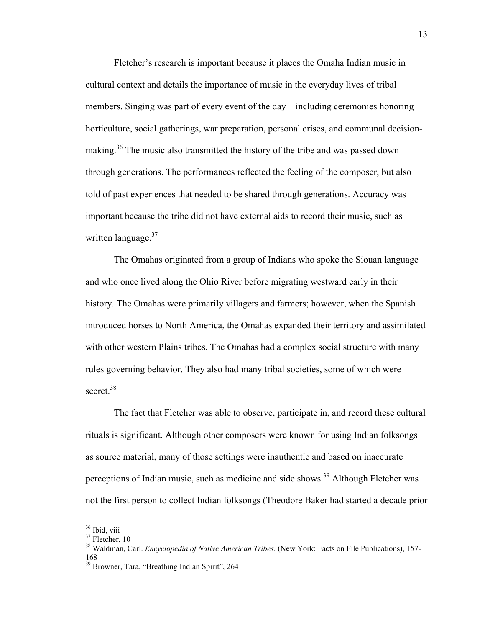Fletcher's research is important because it places the Omaha Indian music in cultural context and details the importance of music in the everyday lives of tribal members. Singing was part of every event of the day—including ceremonies honoring horticulture, social gatherings, war preparation, personal crises, and communal decisionmaking.<sup>36</sup> The music also transmitted the history of the tribe and was passed down through generations. The performances reflected the feeling of the composer, but also told of past experiences that needed to be shared through generations. Accuracy was important because the tribe did not have external aids to record their music, such as written language. $37$ 

The Omahas originated from a group of Indians who spoke the Siouan language and who once lived along the Ohio River before migrating westward early in their history. The Omahas were primarily villagers and farmers; however, when the Spanish introduced horses to North America, the Omahas expanded their territory and assimilated with other western Plains tribes. The Omahas had a complex social structure with many rules governing behavior. They also had many tribal societies, some of which were secret.<sup>38</sup>

The fact that Fletcher was able to observe, participate in, and record these cultural rituals is significant. Although other composers were known for using Indian folksongs as source material, many of those settings were inauthentic and based on inaccurate perceptions of Indian music, such as medicine and side shows.<sup>39</sup> Although Fletcher was not the first person to collect Indian folksongs (Theodore Baker had started a decade prior

<sup>&</sup>lt;sup>36</sup> Ibid, viii

<sup>&</sup>lt;sup>37</sup> Fletcher, 10

<sup>38</sup> Waldman, Carl. *Encyclopedia of Native American Tribes*. (New York: Facts on File Publications), 157- 168

<sup>39</sup> Browner, Tara, "Breathing Indian Spirit", 264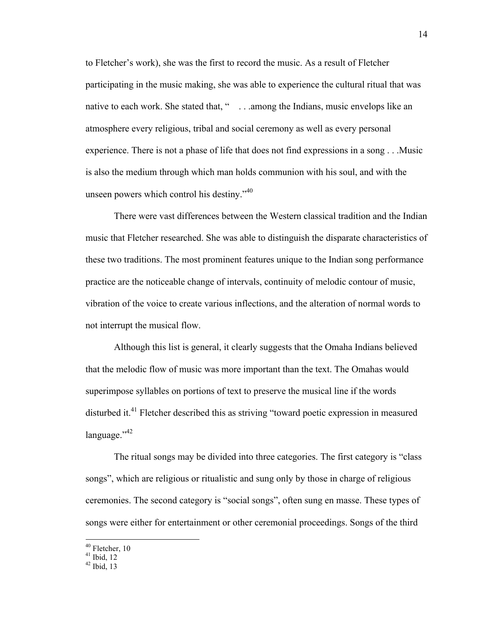to Fletcher's work), she was the first to record the music. As a result of Fletcher participating in the music making, she was able to experience the cultural ritual that was native to each work. She stated that, "... among the Indians, music envelops like an atmosphere every religious, tribal and social ceremony as well as every personal experience. There is not a phase of life that does not find expressions in a song . . .Music is also the medium through which man holds communion with his soul, and with the unseen powers which control his destiny." $40$ 

There were vast differences between the Western classical tradition and the Indian music that Fletcher researched. She was able to distinguish the disparate characteristics of these two traditions. The most prominent features unique to the Indian song performance practice are the noticeable change of intervals, continuity of melodic contour of music, vibration of the voice to create various inflections, and the alteration of normal words to not interrupt the musical flow.

Although this list is general, it clearly suggests that the Omaha Indians believed that the melodic flow of music was more important than the text. The Omahas would superimpose syllables on portions of text to preserve the musical line if the words disturbed it.<sup>41</sup> Fletcher described this as striving "toward poetic expression in measured  $language."42$ 

The ritual songs may be divided into three categories. The first category is "class songs", which are religious or ritualistic and sung only by those in charge of religious ceremonies. The second category is "social songs", often sung en masse. These types of songs were either for entertainment or other ceremonial proceedings. Songs of the third

<sup>&</sup>lt;sup>40</sup> Fletcher, 10

 $41$  Ibid, 12

 $42$  Ibid, 13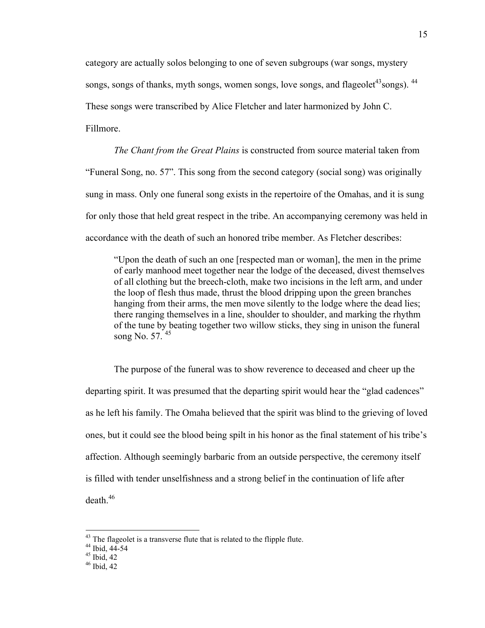category are actually solos belonging to one of seven subgroups (war songs, mystery songs, songs of thanks, myth songs, women songs, love songs, and flageolet<sup>43</sup>songs). <sup>44</sup> These songs were transcribed by Alice Fletcher and later harmonized by John C. Fillmore.

*The Chant from the Great Plains* is constructed from source material taken from "Funeral Song, no. 57". This song from the second category (social song) was originally sung in mass. Only one funeral song exists in the repertoire of the Omahas, and it is sung for only those that held great respect in the tribe. An accompanying ceremony was held in accordance with the death of such an honored tribe member. As Fletcher describes:

"Upon the death of such an one [respected man or woman], the men in the prime of early manhood meet together near the lodge of the deceased, divest themselves of all clothing but the breech-cloth, make two incisions in the left arm, and under the loop of flesh thus made, thrust the blood dripping upon the green branches hanging from their arms, the men move silently to the lodge where the dead lies; there ranging themselves in a line, shoulder to shoulder, and marking the rhythm of the tune by beating together two willow sticks, they sing in unison the funeral song No. 57. 45

The purpose of the funeral was to show reverence to deceased and cheer up the departing spirit. It was presumed that the departing spirit would hear the "glad cadences" as he left his family. The Omaha believed that the spirit was blind to the grieving of loved ones, but it could see the blood being spilt in his honor as the final statement of his tribe's affection. Although seemingly barbaric from an outside perspective, the ceremony itself is filled with tender unselfishness and a strong belief in the continuation of life after  $death<sup>46</sup>$ 

 $43$  The flageolet is a transverse flute that is related to the flipple flute.

 $44$  Ibid,  $44-54$ <br> $45$  Ibid,  $42$ 

 $46$  Ibid, 42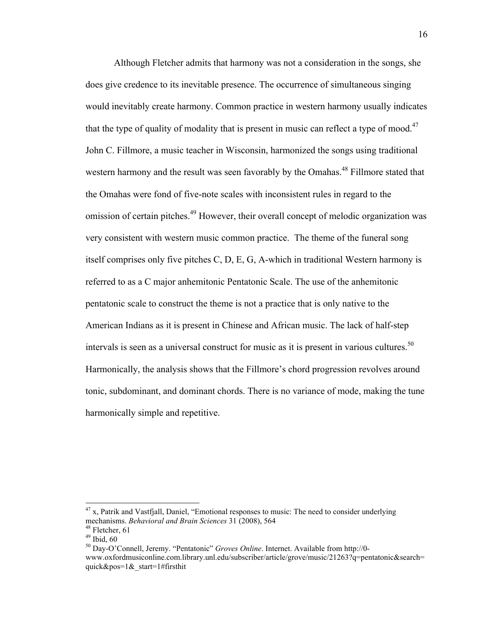Although Fletcher admits that harmony was not a consideration in the songs, she does give credence to its inevitable presence. The occurrence of simultaneous singing would inevitably create harmony. Common practice in western harmony usually indicates that the type of quality of modality that is present in music can reflect a type of mood.<sup>47</sup> John C. Fillmore, a music teacher in Wisconsin, harmonized the songs using traditional western harmony and the result was seen favorably by the Omahas.<sup>48</sup> Fillmore stated that the Omahas were fond of five-note scales with inconsistent rules in regard to the omission of certain pitches.<sup>49</sup> However, their overall concept of melodic organization was very consistent with western music common practice. The theme of the funeral song itself comprises only five pitches C, D, E, G, A-which in traditional Western harmony is referred to as a C major anhemitonic Pentatonic Scale. The use of the anhemitonic pentatonic scale to construct the theme is not a practice that is only native to the American Indians as it is present in Chinese and African music. The lack of half-step intervals is seen as a universal construct for music as it is present in various cultures.<sup>50</sup> Harmonically, the analysis shows that the Fillmore's chord progression revolves around tonic, subdominant, and dominant chords. There is no variance of mode, making the tune harmonically simple and repetitive.

 $47$  x, Patrik and Vastfjall, Daniel, "Emotional responses to music: The need to consider underlying mechanisms. *Behavioral and Brain Sciences* 31 (2008), 564<sup>48</sup> Fletcher, 61

 $49$  Ibid,  $60$ 

<sup>50</sup> Day-O'Connell, Jeremy. "Pentatonic" *Groves Online*. Internet. Available from http://0 www.oxfordmusiconline.com.library.unl.edu/subscriber/article/grove/music/21263?q=pentatonic&search= quick&pos=1&\_start=1#firsthit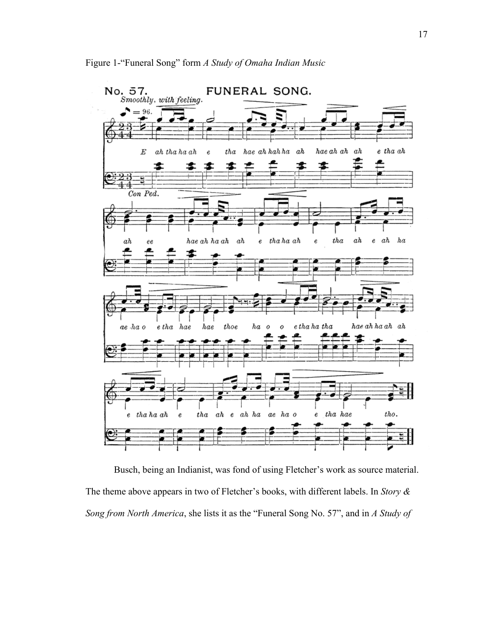

Busch, being an Indianist, was fond of using Fletcher's work as source material. The theme above appears in two of Fletcher's books, with different labels. In *Story & Song from North America*, she lists it as the "Funeral Song No. 57", and in *A Study of*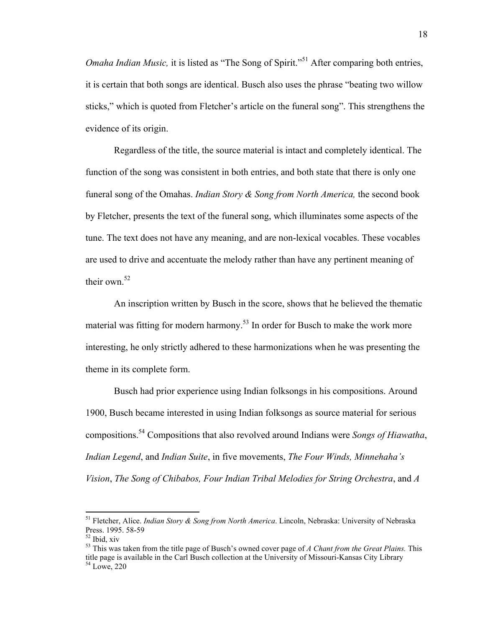*Omaha Indian Music*, it is listed as "The Song of Spirit."<sup>51</sup> After comparing both entries, it is certain that both songs are identical. Busch also uses the phrase "beating two willow sticks," which is quoted from Fletcher's article on the funeral song". This strengthens the evidence of its origin.

Regardless of the title, the source material is intact and completely identical. The function of the song was consistent in both entries, and both state that there is only one funeral song of the Omahas. *Indian Story & Song from North America,* the second book by Fletcher, presents the text of the funeral song, which illuminates some aspects of the tune. The text does not have any meaning, and are non-lexical vocables. These vocables are used to drive and accentuate the melody rather than have any pertinent meaning of their own  $52$ 

An inscription written by Busch in the score, shows that he believed the thematic material was fitting for modern harmony.<sup>53</sup> In order for Busch to make the work more interesting, he only strictly adhered to these harmonizations when he was presenting the theme in its complete form.

Busch had prior experience using Indian folksongs in his compositions. Around 1900, Busch became interested in using Indian folksongs as source material for serious compositions.54 Compositions that also revolved around Indians were *Songs of Hiawatha*, *Indian Legend*, and *Indian Suite*, in five movements, *The Four Winds, Minnehaha's Vision*, *The Song of Chibabos, Four Indian Tribal Melodies for String Orchestra*, and *A* 

 51 Fletcher, Alice. *Indian Story & Song from North America*. Lincoln, Nebraska: University of Nebraska Press. 1995. 58-59<br><sup>52</sup> Ibid. xiv

<sup>53</sup> This was taken from the title page of Busch's owned cover page of *A Chant from the Great Plains.* This title page is available in the Carl Busch collection at the University of Missouri-Kansas City Library 54 Lowe, 220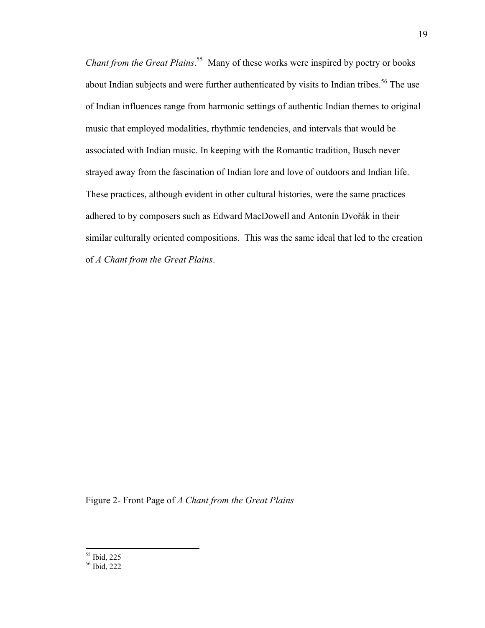*Chant from the Great Plains*. 55 Many of these works were inspired by poetry or books about Indian subjects and were further authenticated by visits to Indian tribes.<sup>56</sup> The use of Indian influences range from harmonic settings of authentic Indian themes to original music that employed modalities, rhythmic tendencies, and intervals that would be associated with Indian music. In keeping with the Romantic tradition, Busch never strayed away from the fascination of Indian lore and love of outdoors and Indian life. These practices, although evident in other cultural histories, were the same practices adhered to by composers such as Edward MacDowell and Antonín Dvořák in their similar culturally oriented compositions. This was the same ideal that led to the creation of *A Chant from the Great Plains*.

Figure 2- Front Page of *A Chant from the Great Plains*

 55 Ibid, 225 56 Ibid, 222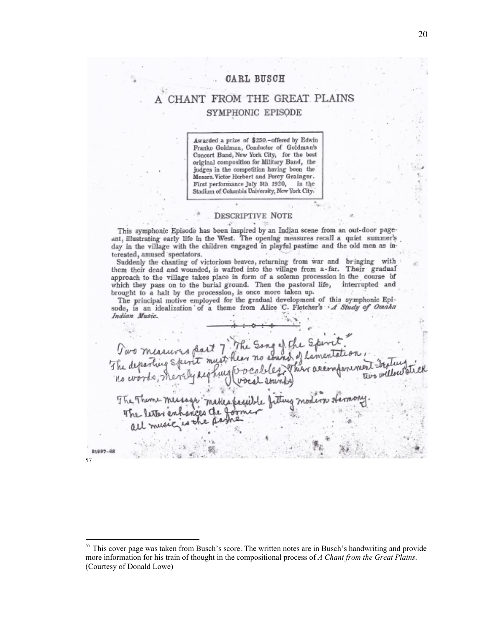## **CARL BUSCH**

## CHANT FROM THE GREAT PLAINS SYMPHONIC EPISODE

Awarded a prize of \$250.-offered by Edwin Franko Goldman, Conductor of Goldman's Concert Band, New York City, for the best original composition for Military Band, the judges in the competition having been the Messrs. Victor Herbert and Percy Grainger. First performance July 5th 1920, in the Stadium of Columbia University, New York City.

#### DESCRIPTIVE NOTE

This symphonic Episode has been inspired by an Indian scene from an out-door pageant, illustrating early life in the West. The opening measures recall a quiet summer's day in the village with the children engaged in playful pastime and the old men as interested, amused spectators.

Suddenly the chanting of victorious braves, returning from war and bringing with them their dead and wounded, is wafted into the village from a-far. Their gradual approach to the village takes place in form of a solemn procession in the course of which they pass on to the burial ground. Then the pastoral life, interrupted and brought to a halt by the procession, is once more taken up.

The principal motive employed for the gradual development of this symphonic Episode, is an idealization of a theme from Alice C. Fletcher's A Study of Omaka Indian Music.

Two measures da The departing S

57

21997-68

<sup>&</sup>lt;sup>57</sup> This cover page was taken from Busch's score. The written notes are in Busch's handwriting and provide more information for his train of thought in the compositional process of *A Chant from the Great Plains*. (Courtesy of Donald Lowe)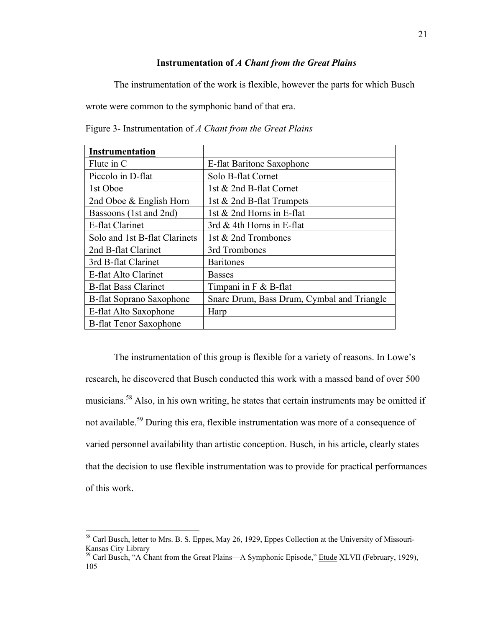## **Instrumentation of** *A Chant from the Great Plains*

The instrumentation of the work is flexible, however the parts for which Busch

wrote were common to the symphonic band of that era.

| Figure 3- Instrumentation of A Chant from the Great Plains |  |  |  |
|------------------------------------------------------------|--|--|--|
|                                                            |  |  |  |

| <b>Instrumentation</b>          |                                            |
|---------------------------------|--------------------------------------------|
| Flute in C                      | E-flat Baritone Saxophone                  |
| Piccolo in D-flat               | Solo B-flat Cornet                         |
| 1st Oboe                        | 1st & 2nd B-flat Cornet                    |
| 2nd Oboe & English Horn         | 1st & 2nd B-flat Trumpets                  |
| Bassoons (1st and 2nd)          | 1st $& 2nd$ Horns in E-flat                |
| E-flat Clarinet                 | 3rd $&$ 4th Horns in E-flat                |
| Solo and 1st B-flat Clarinets   | 1st & 2nd Trombones                        |
| 2nd B-flat Clarinet             | 3rd Trombones                              |
| 3rd B-flat Clarinet             | <b>Baritones</b>                           |
| E-flat Alto Clarinet            | <b>Basses</b>                              |
| <b>B-flat Bass Clarinet</b>     | Timpani in $F \& B$ -flat                  |
| <b>B-flat Soprano Saxophone</b> | Snare Drum, Bass Drum, Cymbal and Triangle |
| E-flat Alto Saxophone           | Harp                                       |
| <b>B-flat Tenor Saxophone</b>   |                                            |

The instrumentation of this group is flexible for a variety of reasons. In Lowe's research, he discovered that Busch conducted this work with a massed band of over 500 musicians.58 Also, in his own writing, he states that certain instruments may be omitted if not available.<sup>59</sup> During this era, flexible instrumentation was more of a consequence of varied personnel availability than artistic conception. Busch, in his article, clearly states that the decision to use flexible instrumentation was to provide for practical performances of this work.

<sup>&</sup>lt;sup>58</sup> Carl Busch, letter to Mrs. B. S. Eppes, May 26, 1929, Eppes Collection at the University of Missouri-Kansas City Library

<sup>&</sup>lt;sup>59</sup> Carl Busch, "A Chant from the Great Plains—A Symphonic Episode," Etude XLVII (February, 1929), 105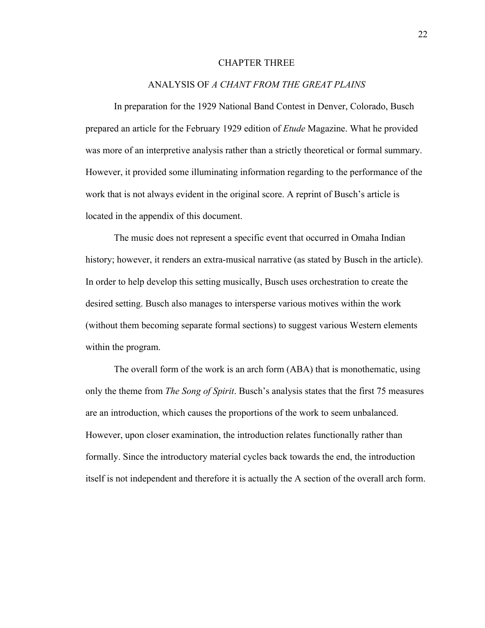### CHAPTER THREE

## ANALYSIS OF *A CHANT FROM THE GREAT PLAINS*

In preparation for the 1929 National Band Contest in Denver, Colorado, Busch prepared an article for the February 1929 edition of *Etude* Magazine. What he provided was more of an interpretive analysis rather than a strictly theoretical or formal summary. However, it provided some illuminating information regarding to the performance of the work that is not always evident in the original score. A reprint of Busch's article is located in the appendix of this document.

The music does not represent a specific event that occurred in Omaha Indian history; however, it renders an extra-musical narrative (as stated by Busch in the article). In order to help develop this setting musically, Busch uses orchestration to create the desired setting. Busch also manages to intersperse various motives within the work (without them becoming separate formal sections) to suggest various Western elements within the program.

The overall form of the work is an arch form (ABA) that is monothematic, using only the theme from *The Song of Spirit*. Busch's analysis states that the first 75 measures are an introduction, which causes the proportions of the work to seem unbalanced. However, upon closer examination, the introduction relates functionally rather than formally. Since the introductory material cycles back towards the end, the introduction itself is not independent and therefore it is actually the A section of the overall arch form.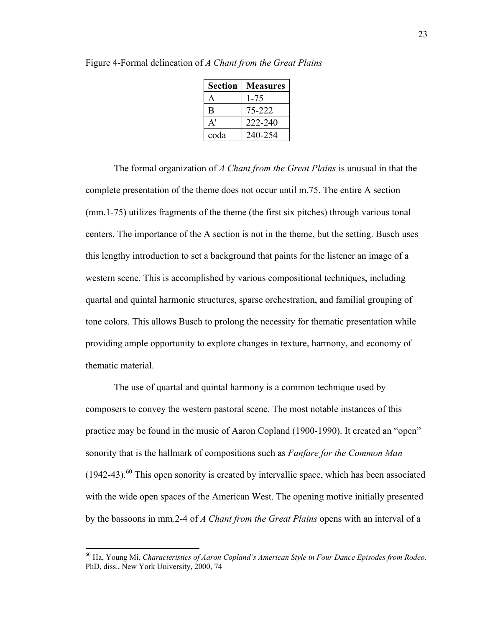| Section               | <b>Measures</b> |
|-----------------------|-----------------|
| A                     | 1-75            |
| B                     | 75-222          |
| $\mathbf{A}^{\prime}$ | 222-240         |
| coda                  | 240-254         |

Figure 4-Formal delineation of *A Chant from the Great Plains*

The formal organization of *A Chant from the Great Plains* is unusual in that the complete presentation of the theme does not occur until m.75. The entire A section (mm.1-75) utilizes fragments of the theme (the first six pitches) through various tonal centers. The importance of the A section is not in the theme, but the setting. Busch uses this lengthy introduction to set a background that paints for the listener an image of a western scene. This is accomplished by various compositional techniques, including quartal and quintal harmonic structures, sparse orchestration, and familial grouping of tone colors. This allows Busch to prolong the necessity for thematic presentation while providing ample opportunity to explore changes in texture, harmony, and economy of thematic material.

The use of quartal and quintal harmony is a common technique used by composers to convey the western pastoral scene. The most notable instances of this practice may be found in the music of Aaron Copland (1900-1990). It created an "open" sonority that is the hallmark of compositions such as *Fanfare for the Common Man*  $(1942-43)$ .<sup>60</sup> This open sonority is created by intervallic space, which has been associated with the wide open spaces of the American West. The opening motive initially presented by the bassoons in mm.2-4 of *A Chant from the Great Plains* opens with an interval of a

 60 Ha, Young Mi. *Characteristics of Aaron Copland's American Style in Four Dance Episodes from Rodeo*. PhD, diss., New York University, 2000, 74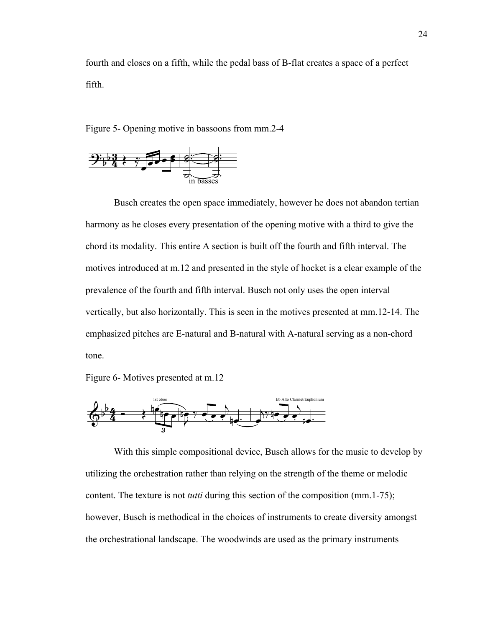fourth and closes on a fifth, while the pedal bass of B-flat creates a space of a perfect fifth.

Figure 5- Opening motive in bassoons from mm.2-4



Busch creates the open space immediately, however he does not abandon tertian harmony as he closes every presentation of the opening motive with a third to give the chord its modality. This entire A section is built off the fourth and fifth interval. The motives introduced at m.12 and presented in the style of hocket is a clear example of the prevalence of the fourth and fifth interval. Busch not only uses the open interval vertically, but also horizontally. This is seen in the motives presented at mm.12-14. The emphasized pitches are E-natural and B-natural with A-natural serving as a non-chord tone.

Figure 6- Motives presented at m.12



With this simple compositional device, Busch allows for the music to develop by utilizing the orchestration rather than relying on the strength of the theme or melodic content. The texture is not *tutti* during this section of the composition (mm.1-75); however, Busch is methodical in the choices of instruments to create diversity amongst the orchestrational landscape. The woodwinds are used as the primary instruments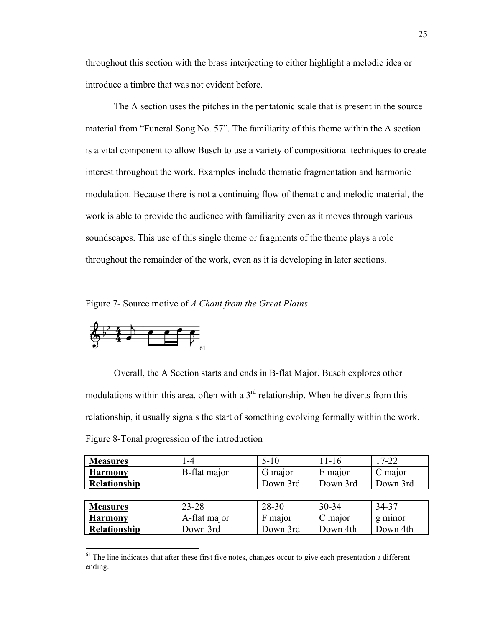throughout this section with the brass interjecting to either highlight a melodic idea or introduce a timbre that was not evident before.

The A section uses the pitches in the pentatonic scale that is present in the source material from "Funeral Song No. 57". The familiarity of this theme within the A section is a vital component to allow Busch to use a variety of compositional techniques to create interest throughout the work. Examples include thematic fragmentation and harmonic modulation. Because there is not a continuing flow of thematic and melodic material, the work is able to provide the audience with familiarity even as it moves through various soundscapes. This use of this single theme or fragments of the theme plays a role throughout the remainder of the work, even as it is developing in later sections.

Figure 7- Source motive of *A Chant from the Great Plains*



Overall, the A Section starts and ends in B-flat Major. Busch explores other modulations within this area, often with a  $3<sup>rd</sup>$  relationship. When he diverts from this relationship, it usually signals the start of something evolving formally within the work. Figure 8-Tonal progression of the introduction

| <b>Measures</b> | -4                   |          | l I - I 6 | 17-22    |
|-----------------|----------------------|----------|-----------|----------|
| <b>Harmony</b>  | <b>B</b> -flat major | G major  | E maior   | C major  |
| Relationship    |                      | Down 3rd | Down 3rd  | Down 3rd |
|                 |                      |          |           |          |

| <b>Measures</b>     | 23-28        | 28-30    | $30 - 34$ | $34-37$  |
|---------------------|--------------|----------|-----------|----------|
| <b>Harmony</b>      | A-flat major | F maior  | C maior   | g minor  |
| <b>Relationship</b> | Down 3rd     | Down 3rd | Down 4th  | Down 4th |

 $<sup>61</sup>$  The line indicates that after these first five notes, changes occur to give each presentation a different</sup> ending.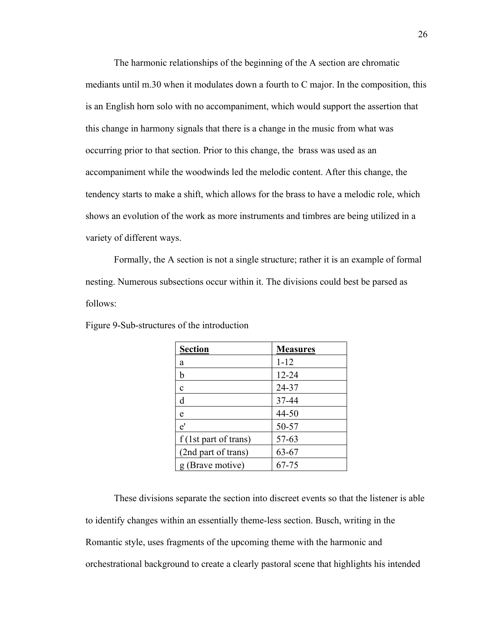The harmonic relationships of the beginning of the A section are chromatic mediants until m.30 when it modulates down a fourth to C major. In the composition, this is an English horn solo with no accompaniment, which would support the assertion that this change in harmony signals that there is a change in the music from what was occurring prior to that section. Prior to this change, the brass was used as an accompaniment while the woodwinds led the melodic content. After this change, the tendency starts to make a shift, which allows for the brass to have a melodic role, which shows an evolution of the work as more instruments and timbres are being utilized in a variety of different ways.

Formally, the A section is not a single structure; rather it is an example of formal nesting. Numerous subsections occur within it. The divisions could best be parsed as follows:

| <b>Section</b>        | <b>Measures</b> |
|-----------------------|-----------------|
| a                     | $1 - 12$        |
| b                     | $12 - 24$       |
| $\mathbf{c}$          | 24-37           |
| d                     | 37-44           |
| e                     | 44-50           |
| $e^{\prime}$          | 50-57           |
| f (1st part of trans) | 57-63           |
| (2nd part of trans)   | 63-67           |
| g (Brave motive)      | 67-75           |

Figure 9-Sub-structures of the introduction

These divisions separate the section into discreet events so that the listener is able to identify changes within an essentially theme-less section. Busch, writing in the Romantic style, uses fragments of the upcoming theme with the harmonic and orchestrational background to create a clearly pastoral scene that highlights his intended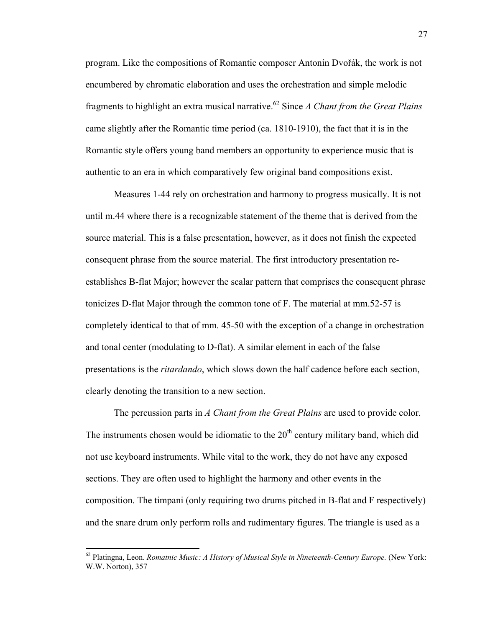program. Like the compositions of Romantic composer Antonín Dvořák, the work is not encumbered by chromatic elaboration and uses the orchestration and simple melodic fragments to highlight an extra musical narrative.<sup>62</sup> Since *A Chant from the Great Plains* came slightly after the Romantic time period (ca. 1810-1910), the fact that it is in the Romantic style offers young band members an opportunity to experience music that is authentic to an era in which comparatively few original band compositions exist.

Measures 1-44 rely on orchestration and harmony to progress musically. It is not until m.44 where there is a recognizable statement of the theme that is derived from the source material. This is a false presentation, however, as it does not finish the expected consequent phrase from the source material. The first introductory presentation reestablishes B-flat Major; however the scalar pattern that comprises the consequent phrase tonicizes D-flat Major through the common tone of F. The material at mm.52-57 is completely identical to that of mm. 45-50 with the exception of a change in orchestration and tonal center (modulating to D-flat). A similar element in each of the false presentations is the *ritardando*, which slows down the half cadence before each section, clearly denoting the transition to a new section.

The percussion parts in *A Chant from the Great Plains* are used to provide color. The instruments chosen would be idiomatic to the  $20<sup>th</sup>$  century military band, which did not use keyboard instruments. While vital to the work, they do not have any exposed sections. They are often used to highlight the harmony and other events in the composition. The timpani (only requiring two drums pitched in B-flat and F respectively) and the snare drum only perform rolls and rudimentary figures. The triangle is used as a

 62 Platingna, Leon. *Romatnic Music: A History of Musical Style in Nineteenth-Century Europe.* (New York: W.W. Norton), 357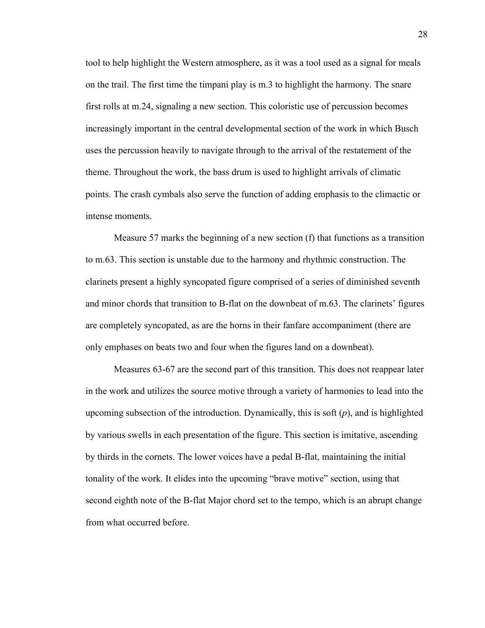tool to help highlight the Western atmosphere, as it was a tool used as a signal for meals on the trail. The first time the timpani play is m.3 to highlight the harmony. The snare first rolls at m.24, signaling a new section. This coloristic use of percussion becomes increasingly important in the central developmental section of the work in which Busch uses the percussion heavily to navigate through to the arrival of the restatement of the theme. Throughout the work, the bass drum is used to highlight arrivals of climatic points. The crash cymbals also serve the function of adding emphasis to the climactic or intense moments.

Measure 57 marks the beginning of a new section (f) that functions as a transition to m.63. This section is unstable due to the harmony and rhythmic construction. The clarinets present a highly syncopated figure comprised of a series of diminished seventh and minor chords that transition to B-flat on the downbeat of m.63. The clarinets' figures are completely syncopated, as are the horns in their fanfare accompaniment (there are only emphases on beats two and four when the figures land on a downbeat).

Measures 63-67 are the second part of this transition. This does not reappear later in the work and utilizes the source motive through a variety of harmonies to lead into the upcoming subsection of the introduction. Dynamically, this is soft (*p*), and is highlighted by various swells in each presentation of the figure. This section is imitative, ascending by thirds in the cornets. The lower voices have a pedal B-flat, maintaining the initial tonality of the work. It elides into the upcoming "brave motive" section, using that second eighth note of the B-flat Major chord set to the tempo, which is an abrupt change from what occurred before.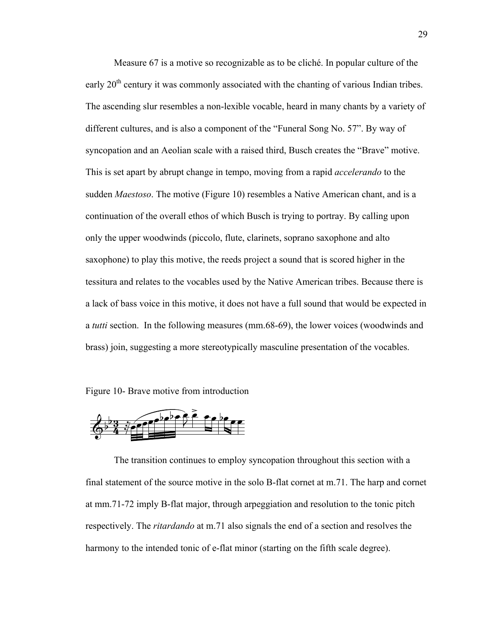Measure 67 is a motive so recognizable as to be cliché. In popular culture of the early  $20<sup>th</sup>$  century it was commonly associated with the chanting of various Indian tribes. The ascending slur resembles a non-lexible vocable, heard in many chants by a variety of different cultures, and is also a component of the "Funeral Song No. 57". By way of syncopation and an Aeolian scale with a raised third, Busch creates the "Brave" motive. This is set apart by abrupt change in tempo, moving from a rapid *accelerando* to the sudden *Maestoso*. The motive (Figure 10) resembles a Native American chant, and is a continuation of the overall ethos of which Busch is trying to portray. By calling upon only the upper woodwinds (piccolo, flute, clarinets, soprano saxophone and alto saxophone) to play this motive, the reeds project a sound that is scored higher in the tessitura and relates to the vocables used by the Native American tribes. Because there is a lack of bass voice in this motive, it does not have a full sound that would be expected in a *tutti* section. In the following measures (mm.68-69), the lower voices (woodwinds and brass) join, suggesting a more stereotypically masculine presentation of the vocables.

Figure 10- Brave motive from introduction



The transition continues to employ syncopation throughout this section with a final statement of the source motive in the solo B-flat cornet at m.71. The harp and cornet at mm.71-72 imply B-flat major, through arpeggiation and resolution to the tonic pitch respectively. The *ritardando* at m.71 also signals the end of a section and resolves the harmony to the intended tonic of e-flat minor (starting on the fifth scale degree).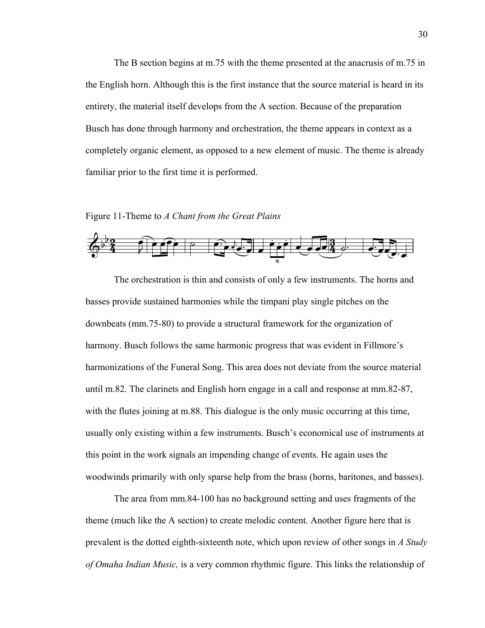The B section begins at m.75 with the theme presented at the anacrusis of m.75 in the English horn. Although this is the first instance that the source material is heard in its entirety, the material itself develops from the A section. Because of the preparation Busch has done through harmony and orchestration, the theme appears in context as a completely organic element, as opposed to a new element of music. The theme is already familiar prior to the first time it is performed.

### Figure 11-Theme to *A Chant from the Great Plains*



The orchestration is thin and consists of only a few instruments. The horns and basses provide sustained harmonies while the timpani play single pitches on the downbeats (mm.75-80) to provide a structural framework for the organization of harmony. Busch follows the same harmonic progress that was evident in Fillmore's harmonizations of the Funeral Song. This area does not deviate from the source material until m.82. The clarinets and English horn engage in a call and response at mm.82-87, with the flutes joining at m.88. This dialogue is the only music occurring at this time, usually only existing within a few instruments. Busch's economical use of instruments at this point in the work signals an impending change of events. He again uses the woodwinds primarily with only sparse help from the brass (horns, baritones, and basses).

The area from mm.84-100 has no background setting and uses fragments of the theme (much like the A section) to create melodic content. Another figure here that is prevalent is the dotted eighth-sixteenth note, which upon review of other songs in *A Study of Omaha Indian Music,* is a very common rhythmic figure. This links the relationship of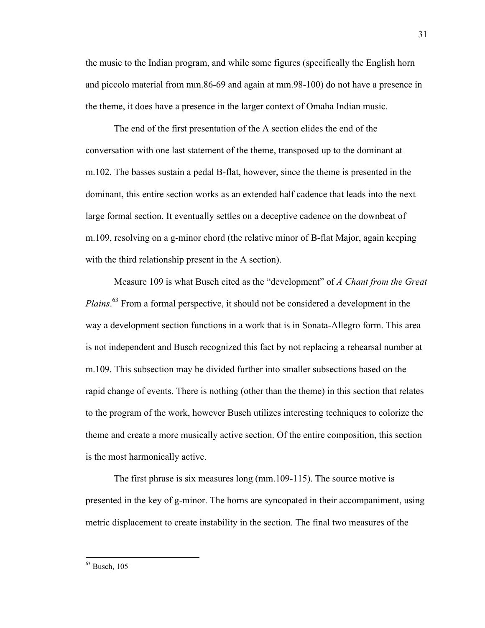the music to the Indian program, and while some figures (specifically the English horn and piccolo material from mm.86-69 and again at mm.98-100) do not have a presence in the theme, it does have a presence in the larger context of Omaha Indian music.

The end of the first presentation of the A section elides the end of the conversation with one last statement of the theme, transposed up to the dominant at m.102. The basses sustain a pedal B-flat, however, since the theme is presented in the dominant, this entire section works as an extended half cadence that leads into the next large formal section. It eventually settles on a deceptive cadence on the downbeat of m.109, resolving on a g-minor chord (the relative minor of B-flat Major, again keeping with the third relationship present in the A section).

Measure 109 is what Busch cited as the "development" of *A Chant from the Great Plains*. 63 From a formal perspective, it should not be considered a development in the way a development section functions in a work that is in Sonata-Allegro form. This area is not independent and Busch recognized this fact by not replacing a rehearsal number at m.109. This subsection may be divided further into smaller subsections based on the rapid change of events. There is nothing (other than the theme) in this section that relates to the program of the work, however Busch utilizes interesting techniques to colorize the theme and create a more musically active section. Of the entire composition, this section is the most harmonically active.

The first phrase is six measures long (mm.109-115). The source motive is presented in the key of g-minor. The horns are syncopated in their accompaniment, using metric displacement to create instability in the section. The final two measures of the

 63 Busch, 105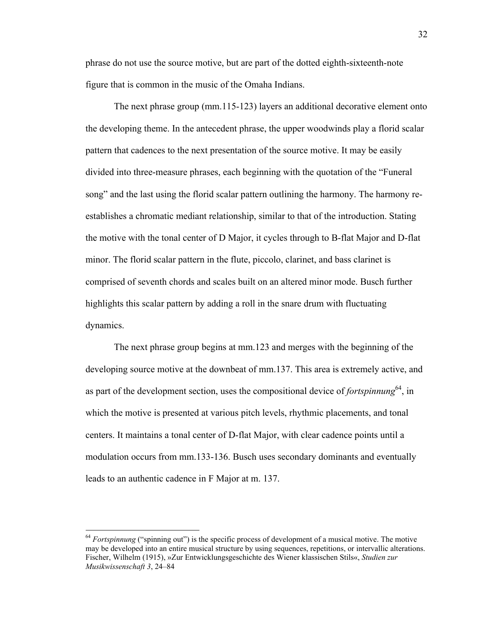phrase do not use the source motive, but are part of the dotted eighth-sixteenth-note figure that is common in the music of the Omaha Indians.

The next phrase group (mm.115-123) layers an additional decorative element onto the developing theme. In the antecedent phrase, the upper woodwinds play a florid scalar pattern that cadences to the next presentation of the source motive. It may be easily divided into three-measure phrases, each beginning with the quotation of the "Funeral song" and the last using the florid scalar pattern outlining the harmony. The harmony reestablishes a chromatic mediant relationship, similar to that of the introduction. Stating the motive with the tonal center of D Major, it cycles through to B-flat Major and D-flat minor. The florid scalar pattern in the flute, piccolo, clarinet, and bass clarinet is comprised of seventh chords and scales built on an altered minor mode. Busch further highlights this scalar pattern by adding a roll in the snare drum with fluctuating dynamics.

The next phrase group begins at mm.123 and merges with the beginning of the developing source motive at the downbeat of mm.137. This area is extremely active, and as part of the development section, uses the compositional device of *fortspinnung*<sup>64</sup>, in which the motive is presented at various pitch levels, rhythmic placements, and tonal centers. It maintains a tonal center of D-flat Major, with clear cadence points until a modulation occurs from mm.133-136. Busch uses secondary dominants and eventually leads to an authentic cadence in F Major at m. 137.

<sup>&</sup>lt;sup>64</sup> *Fortspinnung* ("spinning out") is the specific process of development of a musical motive. The motive may be developed into an entire musical structure by using sequences, repetitions, or intervallic alterations. Fischer, Wilhelm (1915), »Zur Entwicklungsgeschichte des Wiener klassischen Stils«, *Studien zur Musikwissenschaft 3*, 24–84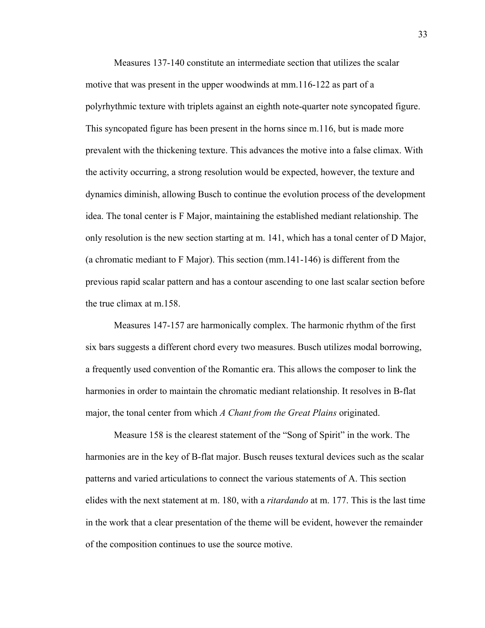Measures 137-140 constitute an intermediate section that utilizes the scalar motive that was present in the upper woodwinds at mm.116-122 as part of a polyrhythmic texture with triplets against an eighth note-quarter note syncopated figure. This syncopated figure has been present in the horns since m.116, but is made more prevalent with the thickening texture. This advances the motive into a false climax. With the activity occurring, a strong resolution would be expected, however, the texture and dynamics diminish, allowing Busch to continue the evolution process of the development idea. The tonal center is F Major, maintaining the established mediant relationship. The only resolution is the new section starting at m. 141, which has a tonal center of D Major, (a chromatic mediant to F Major). This section (mm.141-146) is different from the previous rapid scalar pattern and has a contour ascending to one last scalar section before the true climax at m.158.

Measures 147-157 are harmonically complex. The harmonic rhythm of the first six bars suggests a different chord every two measures. Busch utilizes modal borrowing, a frequently used convention of the Romantic era. This allows the composer to link the harmonies in order to maintain the chromatic mediant relationship. It resolves in B-flat major, the tonal center from which *A Chant from the Great Plains* originated.

Measure 158 is the clearest statement of the "Song of Spirit" in the work. The harmonies are in the key of B-flat major. Busch reuses textural devices such as the scalar patterns and varied articulations to connect the various statements of A. This section elides with the next statement at m. 180, with a *ritardando* at m. 177. This is the last time in the work that a clear presentation of the theme will be evident, however the remainder of the composition continues to use the source motive.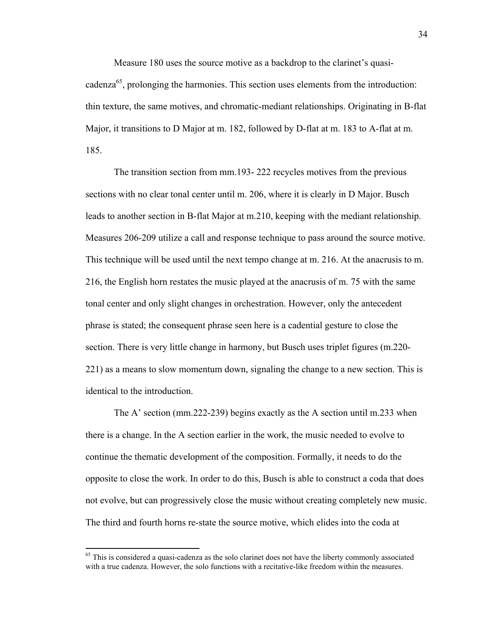Measure 180 uses the source motive as a backdrop to the clarinet's quasicadenza<sup>65</sup>, prolonging the harmonies. This section uses elements from the introduction: thin texture, the same motives, and chromatic-mediant relationships. Originating in B-flat Major, it transitions to D Major at m. 182, followed by D-flat at m. 183 to A-flat at m. 185.

The transition section from mm.193- 222 recycles motives from the previous sections with no clear tonal center until m. 206, where it is clearly in D Major. Busch leads to another section in B-flat Major at m.210, keeping with the mediant relationship. Measures 206-209 utilize a call and response technique to pass around the source motive. This technique will be used until the next tempo change at m. 216. At the anacrusis to m. 216, the English horn restates the music played at the anacrusis of m. 75 with the same tonal center and only slight changes in orchestration. However, only the antecedent phrase is stated; the consequent phrase seen here is a cadential gesture to close the section. There is very little change in harmony, but Busch uses triplet figures (m.220- 221) as a means to slow momentum down, signaling the change to a new section. This is identical to the introduction.

The A' section (mm.222-239) begins exactly as the A section until m.233 when there is a change. In the A section earlier in the work, the music needed to evolve to continue the thematic development of the composition. Formally, it needs to do the opposite to close the work. In order to do this, Busch is able to construct a coda that does not evolve, but can progressively close the music without creating completely new music. The third and fourth horns re-state the source motive, which elides into the coda at

<sup>&</sup>lt;sup>65</sup> This is considered a quasi-cadenza as the solo clarinet does not have the liberty commonly associated with a true cadenza. However, the solo functions with a recitative-like freedom within the measures.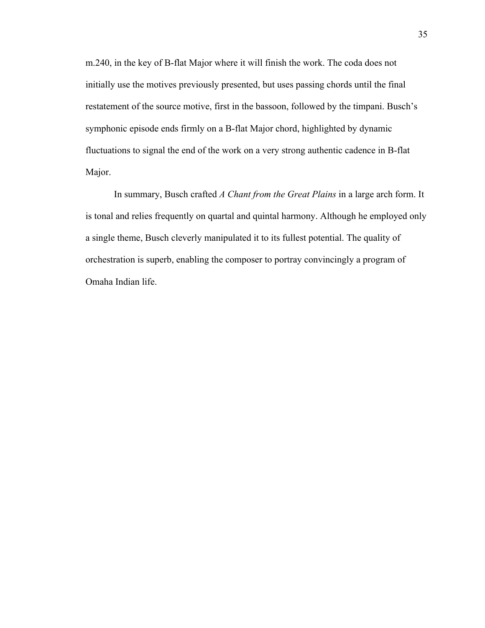m.240, in the key of B-flat Major where it will finish the work. The coda does not initially use the motives previously presented, but uses passing chords until the final restatement of the source motive, first in the bassoon, followed by the timpani. Busch's symphonic episode ends firmly on a B-flat Major chord, highlighted by dynamic fluctuations to signal the end of the work on a very strong authentic cadence in B-flat Major.

In summary, Busch crafted *A Chant from the Great Plains* in a large arch form. It is tonal and relies frequently on quartal and quintal harmony. Although he employed only a single theme, Busch cleverly manipulated it to its fullest potential. The quality of orchestration is superb, enabling the composer to portray convincingly a program of Omaha Indian life.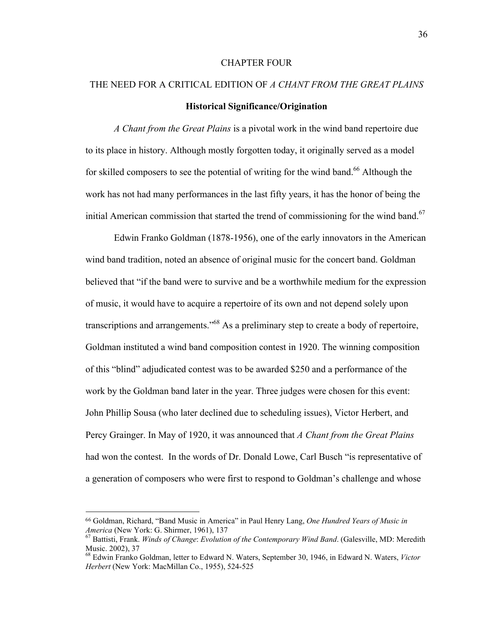## CHAPTER FOUR

# THE NEED FOR A CRITICAL EDITION OF *A CHANT FROM THE GREAT PLAINS* **Historical Significance/Origination**

*A Chant from the Great Plains* is a pivotal work in the wind band repertoire due to its place in history. Although mostly forgotten today, it originally served as a model for skilled composers to see the potential of writing for the wind band.<sup>66</sup> Although the work has not had many performances in the last fifty years, it has the honor of being the initial American commission that started the trend of commissioning for the wind band.<sup>67</sup>

Edwin Franko Goldman (1878-1956), one of the early innovators in the American wind band tradition, noted an absence of original music for the concert band. Goldman believed that "if the band were to survive and be a worthwhile medium for the expression of music, it would have to acquire a repertoire of its own and not depend solely upon transcriptions and arrangements.<sup>568</sup> As a preliminary step to create a body of repertoire, Goldman instituted a wind band composition contest in 1920. The winning composition of this "blind" adjudicated contest was to be awarded \$250 and a performance of the work by the Goldman band later in the year. Three judges were chosen for this event: John Phillip Sousa (who later declined due to scheduling issues), Victor Herbert, and Percy Grainger. In May of 1920, it was announced that *A Chant from the Great Plains* had won the contest. In the words of Dr. Donald Lowe, Carl Busch "is representative of a generation of composers who were first to respond to Goldman's challenge and whose

 

<sup>66</sup> Goldman, Richard, "Band Music in America" in Paul Henry Lang, *One Hundred Years of Music in America* (New York: G. Shirmer, 1961), 137<br><sup>67</sup> Battisti, Frank. *Winds of Change: Evolution of the Contemporary Wind Band.* (Galesville, MD: Meredith

Music. 2002), 37

<sup>68</sup> Edwin Franko Goldman, letter to Edward N. Waters, September 30, 1946, in Edward N. Waters, *Victor Herbert* (New York: MacMillan Co., 1955), 524-525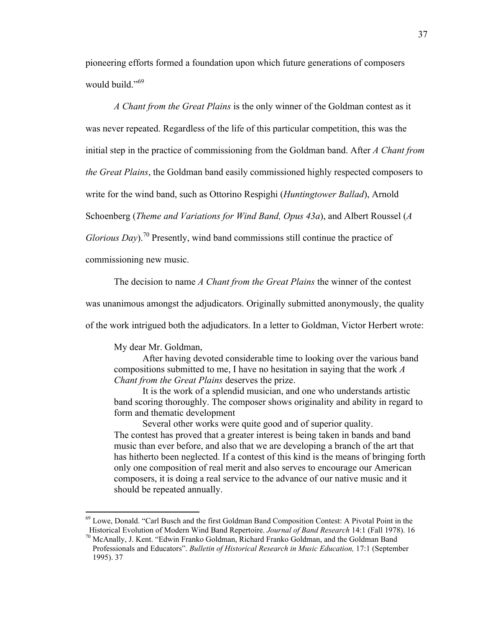pioneering efforts formed a foundation upon which future generations of composers would build."<sup>69</sup>

*A Chant from the Great Plains* is the only winner of the Goldman contest as it

was never repeated. Regardless of the life of this particular competition, this was the

initial step in the practice of commissioning from the Goldman band. After *A Chant from* 

*the Great Plains*, the Goldman band easily commissioned highly respected composers to

write for the wind band, such as Ottorino Respighi (*Huntingtower Ballad*), Arnold

Schoenberg (*Theme and Variations for Wind Band, Opus 43a*), and Albert Roussel (*A* 

*Glorious Day*).<sup>70</sup> Presently, wind band commissions still continue the practice of

commissioning new music.

The decision to name *A Chant from the Great Plains* the winner of the contest

was unanimous amongst the adjudicators. Originally submitted anonymously, the quality

of the work intrigued both the adjudicators. In a letter to Goldman, Victor Herbert wrote:

My dear Mr. Goldman,

After having devoted considerable time to looking over the various band compositions submitted to me, I have no hesitation in saying that the work *A Chant from the Great Plains* deserves the prize.

It is the work of a splendid musician, and one who understands artistic band scoring thoroughly. The composer shows originality and ability in regard to form and thematic development

Several other works were quite good and of superior quality. The contest has proved that a greater interest is being taken in bands and band music than ever before, and also that we are developing a branch of the art that has hitherto been neglected. If a contest of this kind is the means of bringing forth only one composition of real merit and also serves to encourage our American composers, it is doing a real service to the advance of our native music and it should be repeated annually.

 69 Lowe, Donald. "Carl Busch and the first Goldman Band Composition Contest: A Pivotal Point in the Historical Evolution of Modern Wind Band Repertoire. *Journal of Band Research* 14:1 (Fall 1978). 16 70 McAnally, J. Kent. "Edwin Franko Goldman, Richard Franko Goldman, and the Goldman Band

Professionals and Educators". *Bulletin of Historical Research in Music Education,* 17:1 (September 1995). 37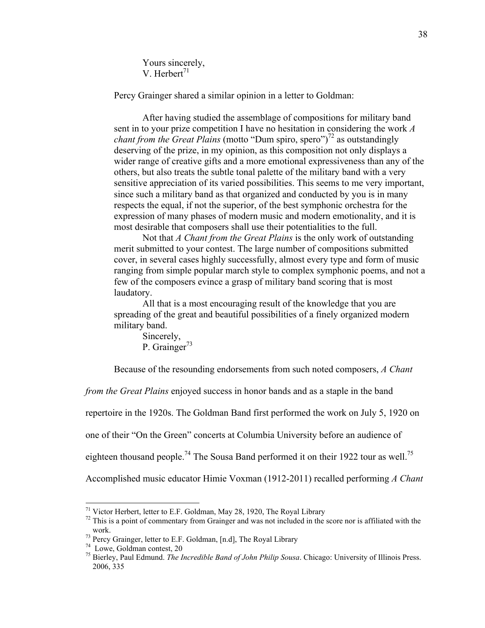Yours sincerely, V. Herbert $^{71}$ 

Percy Grainger shared a similar opinion in a letter to Goldman:

After having studied the assemblage of compositions for military band sent in to your prize competition I have no hesitation in considering the work *A chant from the Great Plains* (motto "Dum spiro, spero")<sup>72</sup> as outstandingly deserving of the prize, in my opinion, as this composition not only displays a wider range of creative gifts and a more emotional expressiveness than any of the others, but also treats the subtle tonal palette of the military band with a very sensitive appreciation of its varied possibilities. This seems to me very important, since such a military band as that organized and conducted by you is in many respects the equal, if not the superior, of the best symphonic orchestra for the expression of many phases of modern music and modern emotionality, and it is most desirable that composers shall use their potentialities to the full.

Not that *A Chant from the Great Plains* is the only work of outstanding merit submitted to your contest. The large number of compositions submitted cover, in several cases highly successfully, almost every type and form of music ranging from simple popular march style to complex symphonic poems, and not a few of the composers evince a grasp of military band scoring that is most laudatory.

All that is a most encouraging result of the knowledge that you are spreading of the great and beautiful possibilities of a finely organized modern military band.

Sincerely, P. Grainger<sup>73</sup>

Because of the resounding endorsements from such noted composers, *A Chant* 

*from the Great Plains* enjoyed success in honor bands and as a staple in the band

repertoire in the 1920s. The Goldman Band first performed the work on July 5, 1920 on

one of their "On the Green" concerts at Columbia University before an audience of

eighteen thousand people.<sup>74</sup> The Sousa Band performed it on their 1922 tour as well.<sup>75</sup>

Accomplished music educator Himie Voxman (1912-2011) recalled performing *A Chant* 

 $71$  Victor Herbert, letter to E.F. Goldman, May 28, 1920, The Royal Library

 $72$  This is a point of commentary from Grainger and was not included in the score nor is affiliated with the

work.<br><sup>73</sup> Percy Grainger, letter to E.F. Goldman, [n.d], The Royal Library

<sup>74</sup> Lowe, Goldman contest, 20

<sup>75</sup> Bierley, Paul Edmund. *The Incredible Band of John Philip Sousa*. Chicago: University of Illinois Press. 2006, 335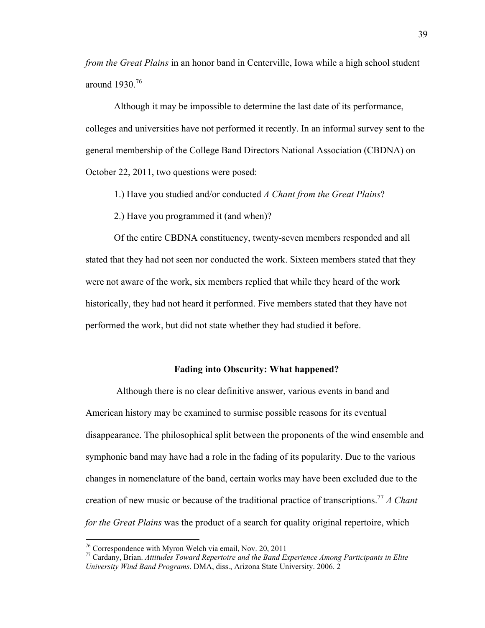*from the Great Plains* in an honor band in Centerville, Iowa while a high school student around 1930.<sup>76</sup>

Although it may be impossible to determine the last date of its performance, colleges and universities have not performed it recently. In an informal survey sent to the general membership of the College Band Directors National Association (CBDNA) on October 22, 2011, two questions were posed:

1.) Have you studied and/or conducted *A Chant from the Great Plains*?

2.) Have you programmed it (and when)?

Of the entire CBDNA constituency, twenty-seven members responded and all stated that they had not seen nor conducted the work. Sixteen members stated that they were not aware of the work, six members replied that while they heard of the work historically, they had not heard it performed. Five members stated that they have not performed the work, but did not state whether they had studied it before.

## **Fading into Obscurity: What happened?**

 Although there is no clear definitive answer, various events in band and American history may be examined to surmise possible reasons for its eventual disappearance. The philosophical split between the proponents of the wind ensemble and symphonic band may have had a role in the fading of its popularity. Due to the various changes in nomenclature of the band, certain works may have been excluded due to the creation of new music or because of the traditional practice of transcriptions.77 *A Chant for the Great Plains* was the product of a search for quality original repertoire, which

 76 Correspondence with Myron Welch via email, Nov. 20, 2011

<sup>77</sup> Cardany, Brian. *Attitudes Toward Repertoire and the Band Experience Among Participants in Elite University Wind Band Programs*. DMA, diss., Arizona State University. 2006. 2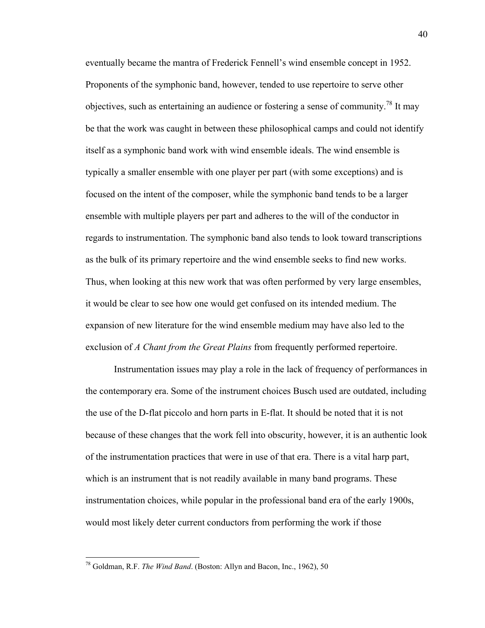eventually became the mantra of Frederick Fennell's wind ensemble concept in 1952. Proponents of the symphonic band, however, tended to use repertoire to serve other objectives, such as entertaining an audience or fostering a sense of community.<sup>78</sup> It may be that the work was caught in between these philosophical camps and could not identify itself as a symphonic band work with wind ensemble ideals. The wind ensemble is typically a smaller ensemble with one player per part (with some exceptions) and is focused on the intent of the composer, while the symphonic band tends to be a larger ensemble with multiple players per part and adheres to the will of the conductor in regards to instrumentation. The symphonic band also tends to look toward transcriptions as the bulk of its primary repertoire and the wind ensemble seeks to find new works. Thus, when looking at this new work that was often performed by very large ensembles, it would be clear to see how one would get confused on its intended medium. The expansion of new literature for the wind ensemble medium may have also led to the exclusion of *A Chant from the Great Plains* from frequently performed repertoire.

Instrumentation issues may play a role in the lack of frequency of performances in the contemporary era. Some of the instrument choices Busch used are outdated, including the use of the D-flat piccolo and horn parts in E-flat. It should be noted that it is not because of these changes that the work fell into obscurity, however, it is an authentic look of the instrumentation practices that were in use of that era. There is a vital harp part, which is an instrument that is not readily available in many band programs. These instrumentation choices, while popular in the professional band era of the early 1900s, would most likely deter current conductors from performing the work if those

 78 Goldman, R.F. *The Wind Band*. (Boston: Allyn and Bacon, Inc., 1962), 50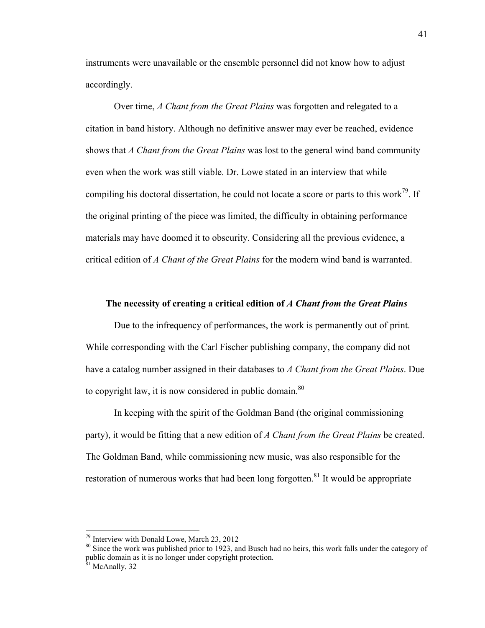instruments were unavailable or the ensemble personnel did not know how to adjust accordingly.

Over time, *A Chant from the Great Plains* was forgotten and relegated to a citation in band history. Although no definitive answer may ever be reached, evidence shows that *A Chant from the Great Plains* was lost to the general wind band community even when the work was still viable. Dr. Lowe stated in an interview that while compiling his doctoral dissertation, he could not locate a score or parts to this work<sup>79</sup>. If the original printing of the piece was limited, the difficulty in obtaining performance materials may have doomed it to obscurity. Considering all the previous evidence, a critical edition of *A Chant of the Great Plains* for the modern wind band is warranted.

## **The necessity of creating a critical edition of** *A Chant from the Great Plains*

Due to the infrequency of performances, the work is permanently out of print. While corresponding with the Carl Fischer publishing company, the company did not have a catalog number assigned in their databases to *A Chant from the Great Plains*. Due to copyright law, it is now considered in public domain.<sup>80</sup>

In keeping with the spirit of the Goldman Band (the original commissioning party), it would be fitting that a new edition of *A Chant from the Great Plains* be created. The Goldman Band, while commissioning new music, was also responsible for the restoration of numerous works that had been long forgotten.<sup>81</sup> It would be appropriate

 79 Interview with Donald Lowe, March 23, 2012

<sup>&</sup>lt;sup>80</sup> Since the work was published prior to 1923, and Busch had no heirs, this work falls under the category of public domain as it is no longer under copyright protection. <sup>81</sup> McAnally, 32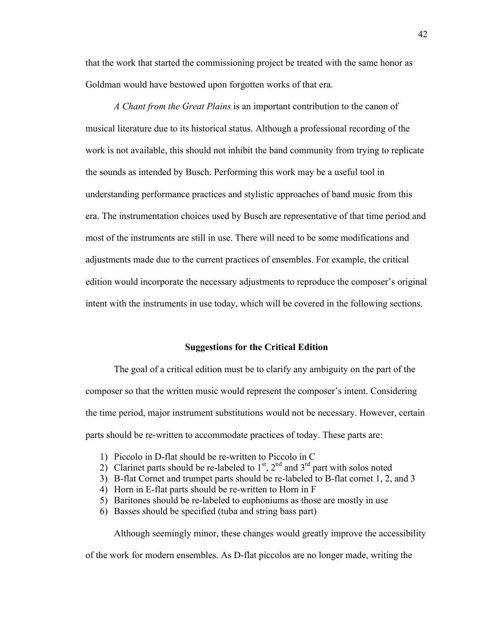that the work that started the commissioning project be treated with the same honor as Goldman would have bestowed upon forgotten works of that era.

*A Chant from the Great Plains* is an important contribution to the canon of musical literature due to its historical status. Although a professional recording of the work is not available, this should not inhibit the band community from trying to replicate the sounds as intended by Busch. Performing this work may be a useful tool in understanding performance practices and stylistic approaches of band music from this era. The instrumentation choices used by Busch are representative of that time period and most of the instruments are still in use. There will need to be some modifications and adjustments made due to the current practices of ensembles. For example, the critical edition would incorporate the necessary adjustments to reproduce the composer's original intent with the instruments in use today, which will be covered in the following sections.

#### **Suggestions for the Critical Edition**

The goal of a critical edition must be to clarify any ambiguity on the part of the composer so that the written music would represent the composer's intent. Considering the time period, major instrument substitutions would not be necessary. However, certain parts should be re-written to accommodate practices of today. These parts are:

- 1) Piccolo in D-flat should be re-written to Piccolo in C
- 2) Clarinet parts should be re-labeled to  $1<sup>st</sup>$ ,  $2<sup>nd</sup>$  and  $3<sup>rd</sup>$  part with solos noted
- 3) B-flat Cornet and trumpet parts should be re-labeled to B-flat cornet 1, 2, and 3
- 4) Horn in E-flat parts should be re-written to Horn in F
- 5) Baritones should be re-labeled to euphoniums as those are mostly in use
- 6) Basses should be specified (tuba and string bass part)

Although seemingly minor, these changes would greatly improve the accessibility of the work for modern ensembles. As D-flat piccolos are no longer made, writing the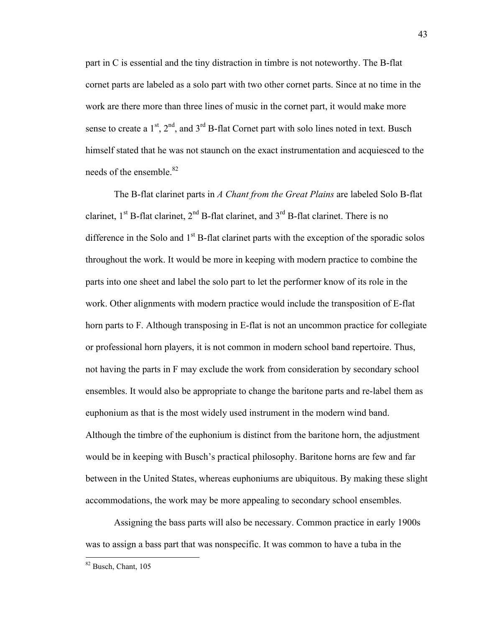part in C is essential and the tiny distraction in timbre is not noteworthy. The B-flat cornet parts are labeled as a solo part with two other cornet parts. Since at no time in the work are there more than three lines of music in the cornet part, it would make more sense to create a  $1<sup>st</sup>$ ,  $2<sup>nd</sup>$ , and  $3<sup>rd</sup>$  B-flat Cornet part with solo lines noted in text. Busch himself stated that he was not staunch on the exact instrumentation and acquiesced to the needs of the ensemble.<sup>82</sup>

The B-flat clarinet parts in *A Chant from the Great Plains* are labeled Solo B-flat clarinet,  $1^{st}$  B-flat clarinet,  $2^{nd}$  B-flat clarinet, and  $3^{rd}$  B-flat clarinet. There is no difference in the Solo and  $1<sup>st</sup>$  B-flat clarinet parts with the exception of the sporadic solos throughout the work. It would be more in keeping with modern practice to combine the parts into one sheet and label the solo part to let the performer know of its role in the work. Other alignments with modern practice would include the transposition of E-flat horn parts to F. Although transposing in E-flat is not an uncommon practice for collegiate or professional horn players, it is not common in modern school band repertoire. Thus, not having the parts in F may exclude the work from consideration by secondary school ensembles. It would also be appropriate to change the baritone parts and re-label them as euphonium as that is the most widely used instrument in the modern wind band. Although the timbre of the euphonium is distinct from the baritone horn, the adjustment would be in keeping with Busch's practical philosophy. Baritone horns are few and far between in the United States, whereas euphoniums are ubiquitous. By making these slight accommodations, the work may be more appealing to secondary school ensembles.

Assigning the bass parts will also be necessary. Common practice in early 1900s was to assign a bass part that was nonspecific. It was common to have a tuba in the

 82 Busch, Chant, 105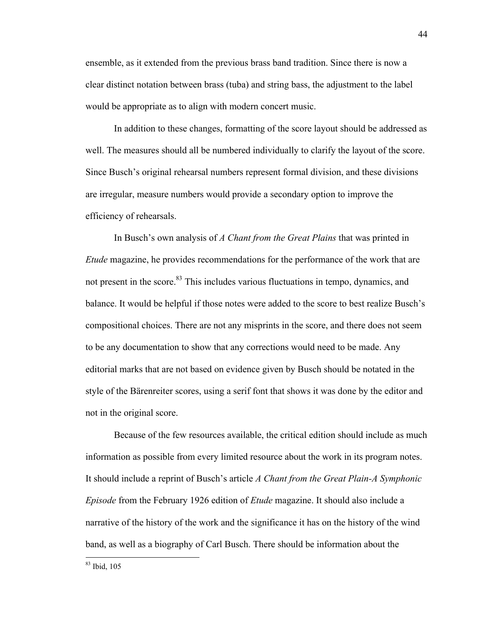ensemble, as it extended from the previous brass band tradition. Since there is now a clear distinct notation between brass (tuba) and string bass, the adjustment to the label would be appropriate as to align with modern concert music.

In addition to these changes, formatting of the score layout should be addressed as well. The measures should all be numbered individually to clarify the layout of the score. Since Busch's original rehearsal numbers represent formal division, and these divisions are irregular, measure numbers would provide a secondary option to improve the efficiency of rehearsals.

In Busch's own analysis of *A Chant from the Great Plains* that was printed in *Etude* magazine, he provides recommendations for the performance of the work that are not present in the score.<sup>83</sup> This includes various fluctuations in tempo, dynamics, and balance. It would be helpful if those notes were added to the score to best realize Busch's compositional choices. There are not any misprints in the score, and there does not seem to be any documentation to show that any corrections would need to be made. Any editorial marks that are not based on evidence given by Busch should be notated in the style of the Bärenreiter scores, using a serif font that shows it was done by the editor and not in the original score.

Because of the few resources available, the critical edition should include as much information as possible from every limited resource about the work in its program notes. It should include a reprint of Busch's article *A Chant from the Great Plain-A Symphonic Episode* from the February 1926 edition of *Etude* magazine. It should also include a narrative of the history of the work and the significance it has on the history of the wind band, as well as a biography of Carl Busch. There should be information about the

 83 Ibid, 105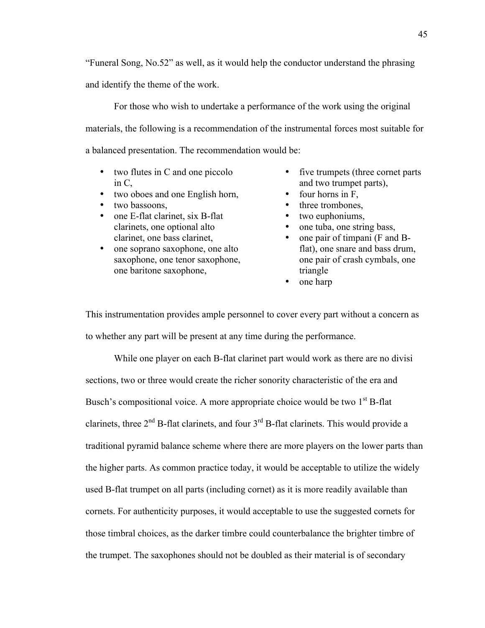"Funeral Song, No.52" as well, as it would help the conductor understand the phrasing and identify the theme of the work.

For those who wish to undertake a performance of the work using the original materials, the following is a recommendation of the instrumental forces most suitable for a balanced presentation. The recommendation would be:

- two flutes in C and one piccolo in C,
- two oboes and one English horn,
- two bassoons,
- one E-flat clarinet, six B-flat clarinets, one optional alto clarinet, one bass clarinet,
- one soprano saxophone, one alto saxophone, one tenor saxophone, one baritone saxophone,
- five trumpets (three cornet parts) and two trumpet parts),
- four horns in F.
- three trombones.
- two euphoniums,
- one tuba, one string bass,
- one pair of timpani (F and Bflat), one snare and bass drum, one pair of crash cymbals, one triangle
- one harp

This instrumentation provides ample personnel to cover every part without a concern as to whether any part will be present at any time during the performance.

While one player on each B-flat clarinet part would work as there are no divisi sections, two or three would create the richer sonority characteristic of the era and Busch's compositional voice. A more appropriate choice would be two  $1<sup>st</sup>$  B-flat clarinets, three  $2<sup>nd</sup>$  B-flat clarinets, and four  $3<sup>rd</sup>$  B-flat clarinets. This would provide a traditional pyramid balance scheme where there are more players on the lower parts than the higher parts. As common practice today, it would be acceptable to utilize the widely used B-flat trumpet on all parts (including cornet) as it is more readily available than cornets. For authenticity purposes, it would acceptable to use the suggested cornets for those timbral choices, as the darker timbre could counterbalance the brighter timbre of the trumpet. The saxophones should not be doubled as their material is of secondary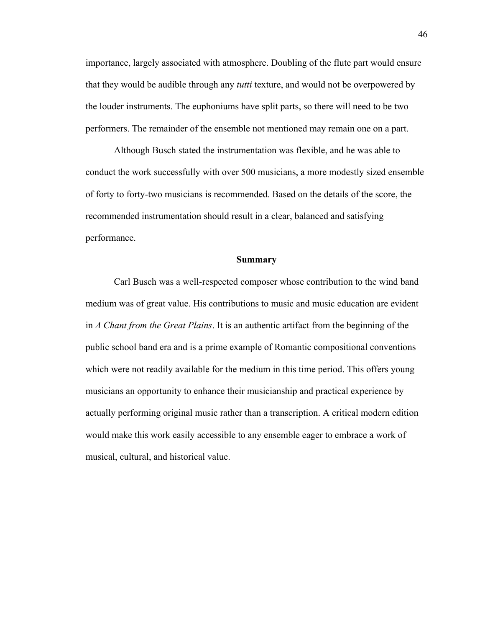importance, largely associated with atmosphere. Doubling of the flute part would ensure that they would be audible through any *tutti* texture, and would not be overpowered by the louder instruments. The euphoniums have split parts, so there will need to be two performers. The remainder of the ensemble not mentioned may remain one on a part.

Although Busch stated the instrumentation was flexible, and he was able to conduct the work successfully with over 500 musicians, a more modestly sized ensemble of forty to forty-two musicians is recommended. Based on the details of the score, the recommended instrumentation should result in a clear, balanced and satisfying performance.

#### **Summary**

Carl Busch was a well-respected composer whose contribution to the wind band medium was of great value. His contributions to music and music education are evident in *A Chant from the Great Plains*. It is an authentic artifact from the beginning of the public school band era and is a prime example of Romantic compositional conventions which were not readily available for the medium in this time period. This offers young musicians an opportunity to enhance their musicianship and practical experience by actually performing original music rather than a transcription. A critical modern edition would make this work easily accessible to any ensemble eager to embrace a work of musical, cultural, and historical value.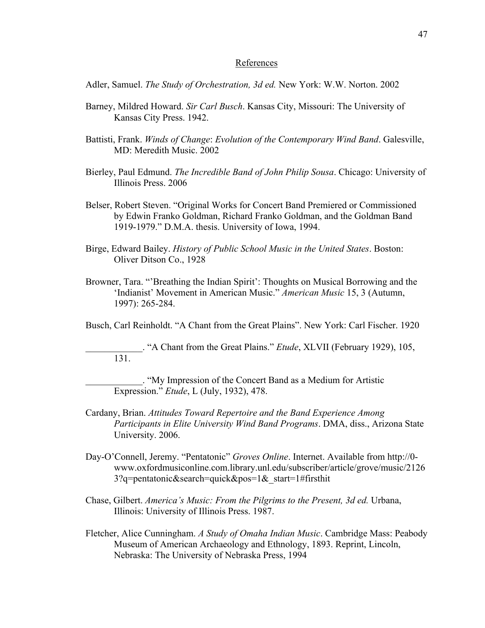#### References

Adler, Samuel. *The Study of Orchestration, 3d ed.* New York: W.W. Norton. 2002

- Barney, Mildred Howard. *Sir Carl Busch*. Kansas City, Missouri: The University of Kansas City Press. 1942.
- Battisti, Frank. *Winds of Change*: *Evolution of the Contemporary Wind Band*. Galesville, MD: Meredith Music. 2002
- Bierley, Paul Edmund. *The Incredible Band of John Philip Sousa*. Chicago: University of Illinois Press. 2006
- Belser, Robert Steven. "Original Works for Concert Band Premiered or Commissioned by Edwin Franko Goldman, Richard Franko Goldman, and the Goldman Band 1919-1979." D.M.A. thesis. University of Iowa, 1994.
- Birge, Edward Bailey. *History of Public School Music in the United States*. Boston: Oliver Ditson Co., 1928
- Browner, Tara. "'Breathing the Indian Spirit': Thoughts on Musical Borrowing and the 'Indianist' Movement in American Music." *American Music* 15, 3 (Autumn, 1997): 265-284.

Busch, Carl Reinholdt. "A Chant from the Great Plains". New York: Carl Fischer. 1920

\_\_\_\_\_\_\_\_\_\_\_\_. "A Chant from the Great Plains." *Etude*, XLVII (February 1929), 105, 131.

\_\_\_\_\_\_\_\_\_\_\_\_. "My Impression of the Concert Band as a Medium for Artistic Expression." *Etude*, L (July, 1932), 478.

- Cardany, Brian. *Attitudes Toward Repertoire and the Band Experience Among Participants in Elite University Wind Band Programs*. DMA, diss., Arizona State University. 2006.
- Day-O'Connell, Jeremy. "Pentatonic" *Groves Online*. Internet. Available from http://0 www.oxfordmusiconline.com.library.unl.edu/subscriber/article/grove/music/2126 3?q=pentatonic&search=quick&pos=1& start=1#firsthit
- Chase, Gilbert. *America's Music: From the Pilgrims to the Present, 3d ed.* Urbana, Illinois: University of Illinois Press. 1987.
- Fletcher, Alice Cunningham. *A Study of Omaha Indian Music*. Cambridge Mass: Peabody Museum of American Archaeology and Ethnology, 1893. Reprint, Lincoln, Nebraska: The University of Nebraska Press, 1994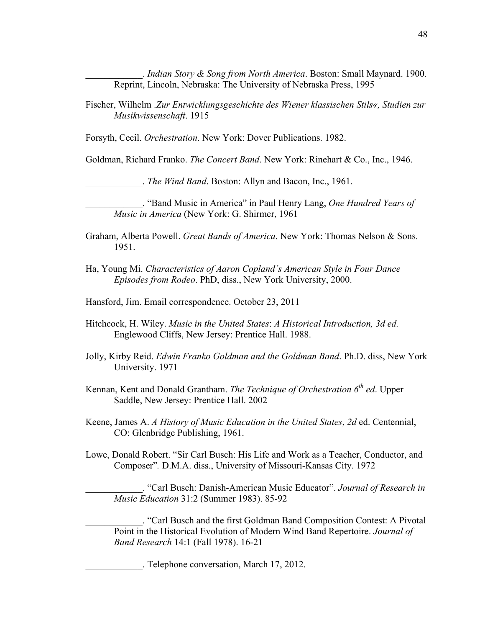\_\_\_\_\_\_\_\_\_\_\_\_. *Indian Story & Song from North America*. Boston: Small Maynard. 1900. Reprint, Lincoln, Nebraska: The University of Nebraska Press, 1995

Fischer, Wilhelm .*Zur Entwicklungsgeschichte des Wiener klassischen Stils«, Studien zur Musikwissenschaft*. 1915

Forsyth, Cecil. *Orchestration*. New York: Dover Publications. 1982.

Goldman, Richard Franko. *The Concert Band*. New York: Rinehart & Co., Inc., 1946.

\_\_\_\_\_\_\_\_\_\_\_\_. *The Wind Band*. Boston: Allyn and Bacon, Inc., 1961.

\_\_\_\_\_\_\_\_\_\_\_\_. "Band Music in America" in Paul Henry Lang, *One Hundred Years of Music in America* (New York: G. Shirmer, 1961

- Graham, Alberta Powell. *Great Bands of America*. New York: Thomas Nelson & Sons. 1951.
- Ha, Young Mi. *Characteristics of Aaron Copland's American Style in Four Dance Episodes from Rodeo*. PhD, diss., New York University, 2000.
- Hansford, Jim. Email correspondence. October 23, 2011
- Hitchcock, H. Wiley. *Music in the United States*: *A Historical Introduction, 3d ed.* Englewood Cliffs, New Jersey: Prentice Hall. 1988.
- Jolly, Kirby Reid. *Edwin Franko Goldman and the Goldman Band*. Ph.D. diss, New York University. 1971
- Kennan, Kent and Donald Grantham. *The Technique of Orchestration 6th ed*. Upper Saddle, New Jersey: Prentice Hall. 2002
- Keene, James A. *A History of Music Education in the United States*, *2d* ed. Centennial, CO: Glenbridge Publishing, 1961.
- Lowe, Donald Robert. "Sir Carl Busch: His Life and Work as a Teacher, Conductor, and Composer"*.* D.M.A. diss., University of Missouri-Kansas City. 1972

\_\_\_\_\_\_\_\_\_\_\_\_. "Carl Busch: Danish-American Music Educator". *Journal of Research in Music Education* 31:2 (Summer 1983). 85-92

\_\_\_\_\_\_\_\_\_\_\_\_. "Carl Busch and the first Goldman Band Composition Contest: A Pivotal Point in the Historical Evolution of Modern Wind Band Repertoire. *Journal of Band Research* 14:1 (Fall 1978). 16-21

\_\_\_\_\_\_\_\_\_\_\_\_. Telephone conversation, March 17, 2012.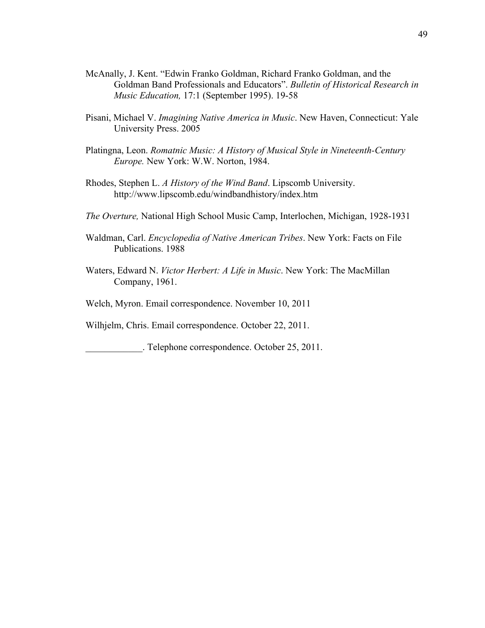- McAnally, J. Kent. "Edwin Franko Goldman, Richard Franko Goldman, and the Goldman Band Professionals and Educators". *Bulletin of Historical Research in Music Education,* 17:1 (September 1995). 19-58
- Pisani, Michael V. *Imagining Native America in Music*. New Haven, Connecticut: Yale University Press. 2005
- Platingna, Leon. *Romatnic Music: A History of Musical Style in Nineteenth-Century Europe.* New York: W.W. Norton, 1984.
- Rhodes, Stephen L. *A History of the Wind Band*. Lipscomb University. http://www.lipscomb.edu/windbandhistory/index.htm
- *The Overture,* National High School Music Camp, Interlochen, Michigan, 1928-1931
- Waldman, Carl. *Encyclopedia of Native American Tribes*. New York: Facts on File Publications. 1988
- Waters, Edward N. *Victor Herbert: A Life in Music*. New York: The MacMillan Company, 1961.
- Welch, Myron. Email correspondence. November 10, 2011

Wilhjelm, Chris. Email correspondence. October 22, 2011.

\_\_\_\_\_\_\_\_\_\_\_\_. Telephone correspondence. October 25, 2011.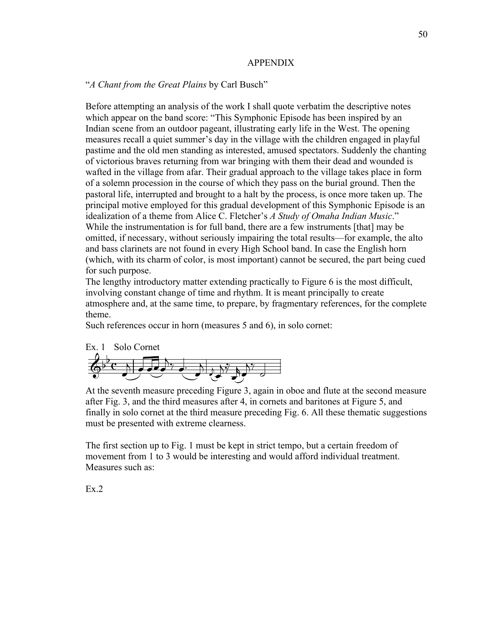## APPENDIX

## "*A Chant from the Great Plains* by Carl Busch"

Before attempting an analysis of the work I shall quote verbatim the descriptive notes which appear on the band score: "This Symphonic Episode has been inspired by an Indian scene from an outdoor pageant, illustrating early life in the West. The opening measures recall a quiet summer's day in the village with the children engaged in playful pastime and the old men standing as interested, amused spectators. Suddenly the chanting of victorious braves returning from war bringing with them their dead and wounded is wafted in the village from afar. Their gradual approach to the village takes place in form of a solemn procession in the course of which they pass on the burial ground. Then the pastoral life, interrupted and brought to a halt by the process, is once more taken up. The principal motive employed for this gradual development of this Symphonic Episode is an idealization of a theme from Alice C. Fletcher's *A Study of Omaha Indian Music*." While the instrumentation is for full band, there are a few instruments [that] may be omitted, if necessary, without seriously impairing the total results—for example, the alto and bass clarinets are not found in every High School band. In case the English horn (which, with its charm of color, is most important) cannot be secured, the part being cued for such purpose.

The lengthy introductory matter extending practically to Figure 6 is the most difficult, involving constant change of time and rhythm. It is meant principally to create atmosphere and, at the same time, to prepare, by fragmentary references, for the complete theme.

Such references occur in horn (measures 5 and 6), in solo cornet:



At the seventh measure preceding Figure 3, again in oboe and flute at the second measure after Fig. 3, and the third measures after 4, in cornets and baritones at Figure 5, and finally in solo cornet at the third measure preceding Fig. 6. All these thematic suggestions must be presented with extreme clearness.

The first section up to Fig. 1 must be kept in strict tempo, but a certain freedom of movement from 1 to 3 would be interesting and would afford individual treatment. Measures such as:

Ex.2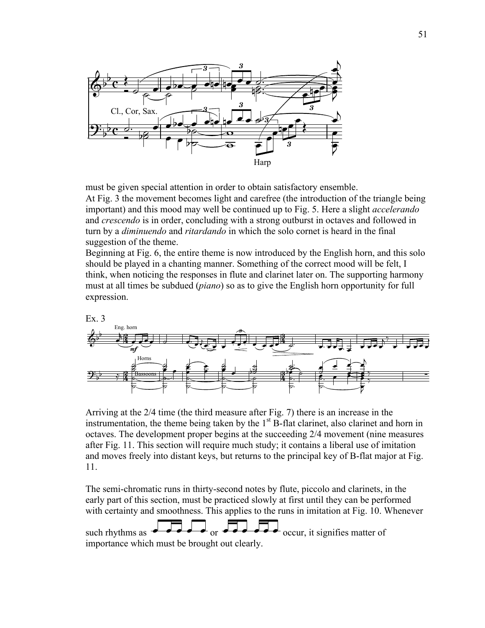

must be given special attention in order to obtain satisfactory ensemble. At Fig. 3 the movement becomes light and carefree (the introduction of the triangle being important) and this mood may well be continued up to Fig. 5. Here a slight *accelerando* and *crescendo* is in order, concluding with a strong outburst in octaves and followed in turn by a *diminuendo* and *ritardando* in which the solo cornet is heard in the final suggestion of the theme.

Beginning at Fig. 6, the entire theme is now introduced by the English horn, and this solo should be played in a chanting manner. Something of the correct mood will be felt, I think, when noticing the responses in flute and clarinet later on. The supporting harmony must at all times be subdued (*piano*) so as to give the English horn opportunity for full expression.



Arriving at the 2/4 time (the third measure after Fig. 7) there is an increase in the instrumentation, the theme being taken by the  $1<sup>st</sup>$  B-flat clarinet, also clarinet and horn in octaves. The development proper begins at the succeeding 2/4 movement (nine measures after Fig. 11. This section will require much study; it contains a liberal use of imitation and moves freely into distant keys, but returns to the principal key of B-flat major at Fig. 11.

The semi-chromatic runs in thirty-second notes by flute, piccolo and clarinets, in the early part of this section, must be practiced slowly at first until they can be performed with certainty and smoothness. This applies to the runs in imitation at Fig. 10. Whenever

such rhythms as  $\overrightarrow{ }$  or  $\overrightarrow{ }$  or  $\overrightarrow{ }$  occur, it signifies matter of importance which must be brought out clearly.